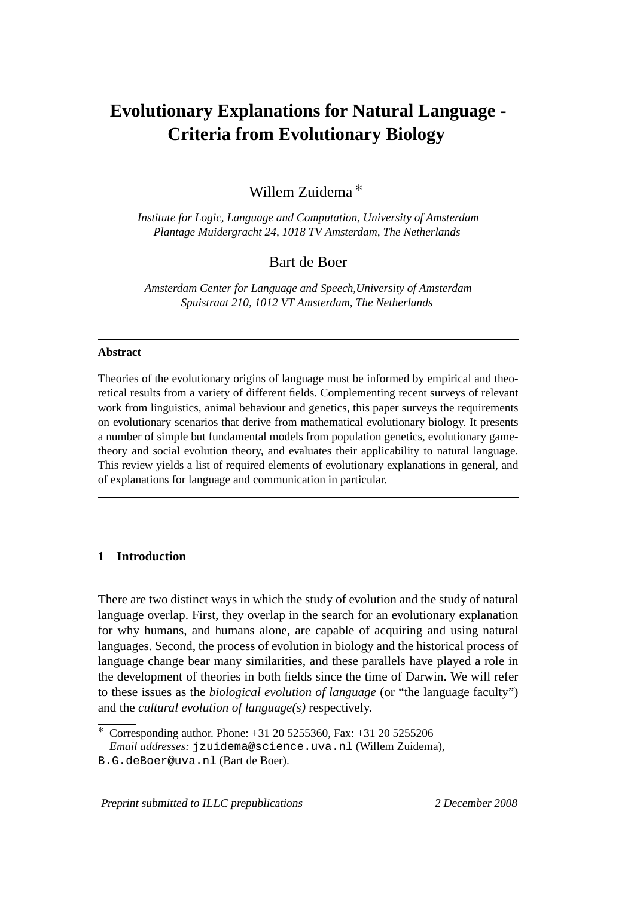# **Evolutionary Explanations for Natural Language - Criteria from Evolutionary Biology**

Willem Zuidema ∗

*Institute for Logic, Language and Computation, University of Amsterdam Plantage Muidergracht 24, 1018 TV Amsterdam, The Netherlands*

# Bart de Boer

*Amsterdam Center for Language and Speech,University of Amsterdam Spuistraat 210, 1012 VT Amsterdam, The Netherlands*

## **Abstract**

Theories of the evolutionary origins of language must be informed by empirical and theoretical results from a variety of different fields. Complementing recent surveys of relevant work from linguistics, animal behaviour and genetics, this paper surveys the requirements on evolutionary scenarios that derive from mathematical evolutionary biology. It presents a number of simple but fundamental models from population genetics, evolutionary gametheory and social evolution theory, and evaluates their applicability to natural language. This review yields a list of required elements of evolutionary explanations in general, and of explanations for language and communication in particular.

# **1 Introduction**

There are two distinct ways in which the study of evolution and the study of natural language overlap. First, they overlap in the search for an evolutionary explanation for why humans, and humans alone, are capable of acquiring and using natural languages. Second, the process of evolution in biology and the historical process of language change bear many similarities, and these parallels have played a role in the development of theories in both fields since the time of Darwin. We will refer to these issues as the *biological evolution of language* (or "the language faculty") and the *cultural evolution of language(s)* respectively.

Preprint submitted to ILLC prepublications 2 December 2008

 $\overline{\text{*}}$  Corresponding author. Phone: +31 20 5255360, Fax: +31 20 5255206

*Email addresses:* jzuidema@science.uva.nl (Willem Zuidema),

B.G.deBoer@uva.nl (Bart de Boer).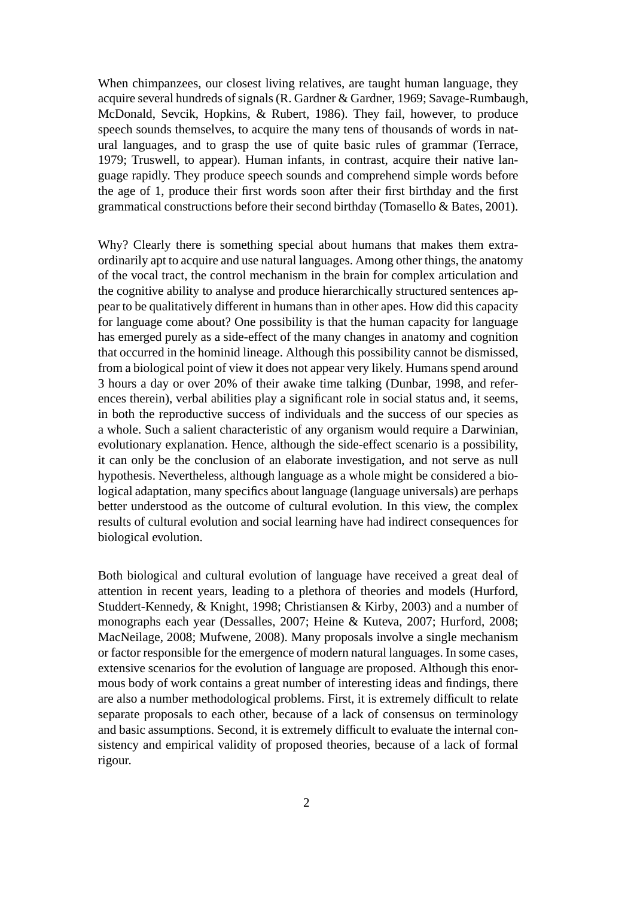When chimpanzees, our closest living relatives, are taught human language, they acquire several hundreds of signals (R. Gardner & Gardner, 1969; Savage-Rumbaugh, McDonald, Sevcik, Hopkins, & Rubert, 1986). They fail, however, to produce speech sounds themselves, to acquire the many tens of thousands of words in natural languages, and to grasp the use of quite basic rules of grammar (Terrace, 1979; Truswell, to appear). Human infants, in contrast, acquire their native language rapidly. They produce speech sounds and comprehend simple words before the age of 1, produce their first words soon after their first birthday and the first grammatical constructions before their second birthday (Tomasello & Bates, 2001).

Why? Clearly there is something special about humans that makes them extraordinarily apt to acquire and use natural languages. Among other things, the anatomy of the vocal tract, the control mechanism in the brain for complex articulation and the cognitive ability to analyse and produce hierarchically structured sentences appear to be qualitatively different in humans than in other apes. How did this capacity for language come about? One possibility is that the human capacity for language has emerged purely as a side-effect of the many changes in anatomy and cognition that occurred in the hominid lineage. Although this possibility cannot be dismissed, from a biological point of view it does not appear very likely. Humans spend around 3 hours a day or over 20% of their awake time talking (Dunbar, 1998, and references therein), verbal abilities play a significant role in social status and, it seems, in both the reproductive success of individuals and the success of our species as a whole. Such a salient characteristic of any organism would require a Darwinian, evolutionary explanation. Hence, although the side-effect scenario is a possibility, it can only be the conclusion of an elaborate investigation, and not serve as null hypothesis. Nevertheless, although language as a whole might be considered a biological adaptation, many specifics about language (language universals) are perhaps better understood as the outcome of cultural evolution. In this view, the complex results of cultural evolution and social learning have had indirect consequences for biological evolution.

Both biological and cultural evolution of language have received a great deal of attention in recent years, leading to a plethora of theories and models (Hurford, Studdert-Kennedy, & Knight, 1998; Christiansen & Kirby, 2003) and a number of monographs each year (Dessalles, 2007; Heine & Kuteva, 2007; Hurford, 2008; MacNeilage, 2008; Mufwene, 2008). Many proposals involve a single mechanism or factor responsible for the emergence of modern natural languages. In some cases, extensive scenarios for the evolution of language are proposed. Although this enormous body of work contains a great number of interesting ideas and findings, there are also a number methodological problems. First, it is extremely difficult to relate separate proposals to each other, because of a lack of consensus on terminology and basic assumptions. Second, it is extremely difficult to evaluate the internal consistency and empirical validity of proposed theories, because of a lack of formal rigour.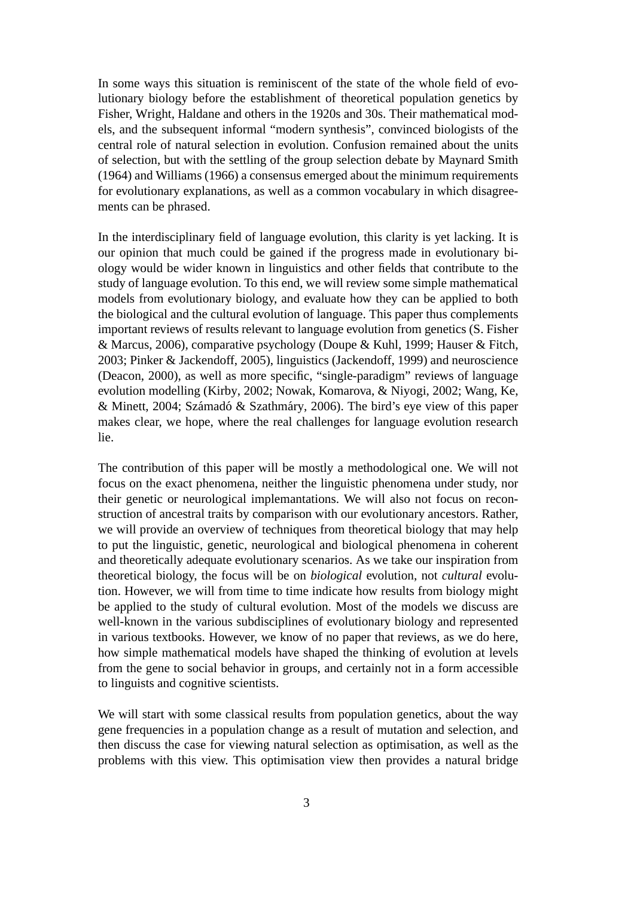In some ways this situation is reminiscent of the state of the whole field of evolutionary biology before the establishment of theoretical population genetics by Fisher, Wright, Haldane and others in the 1920s and 30s. Their mathematical models, and the subsequent informal "modern synthesis", convinced biologists of the central role of natural selection in evolution. Confusion remained about the units of selection, but with the settling of the group selection debate by Maynard Smith (1964) and Williams (1966) a consensus emerged about the minimum requirements for evolutionary explanations, as well as a common vocabulary in which disagreements can be phrased.

In the interdisciplinary field of language evolution, this clarity is yet lacking. It is our opinion that much could be gained if the progress made in evolutionary biology would be wider known in linguistics and other fields that contribute to the study of language evolution. To this end, we will review some simple mathematical models from evolutionary biology, and evaluate how they can be applied to both the biological and the cultural evolution of language. This paper thus complements important reviews of results relevant to language evolution from genetics (S. Fisher & Marcus, 2006), comparative psychology (Doupe & Kuhl, 1999; Hauser & Fitch, 2003; Pinker & Jackendoff, 2005), linguistics (Jackendoff, 1999) and neuroscience (Deacon, 2000), as well as more specific, "single-paradigm" reviews of language evolution modelling (Kirby, 2002; Nowak, Komarova, & Niyogi, 2002; Wang, Ke, & Minett, 2004; Számadó & Szathmáry, 2006). The bird's eye view of this paper makes clear, we hope, where the real challenges for language evolution research lie.

The contribution of this paper will be mostly a methodological one. We will not focus on the exact phenomena, neither the linguistic phenomena under study, nor their genetic or neurological implemantations. We will also not focus on reconstruction of ancestral traits by comparison with our evolutionary ancestors. Rather, we will provide an overview of techniques from theoretical biology that may help to put the linguistic, genetic, neurological and biological phenomena in coherent and theoretically adequate evolutionary scenarios. As we take our inspiration from theoretical biology, the focus will be on *biological* evolution, not *cultural* evolution. However, we will from time to time indicate how results from biology might be applied to the study of cultural evolution. Most of the models we discuss are well-known in the various subdisciplines of evolutionary biology and represented in various textbooks. However, we know of no paper that reviews, as we do here, how simple mathematical models have shaped the thinking of evolution at levels from the gene to social behavior in groups, and certainly not in a form accessible to linguists and cognitive scientists.

We will start with some classical results from population genetics, about the way gene frequencies in a population change as a result of mutation and selection, and then discuss the case for viewing natural selection as optimisation, as well as the problems with this view. This optimisation view then provides a natural bridge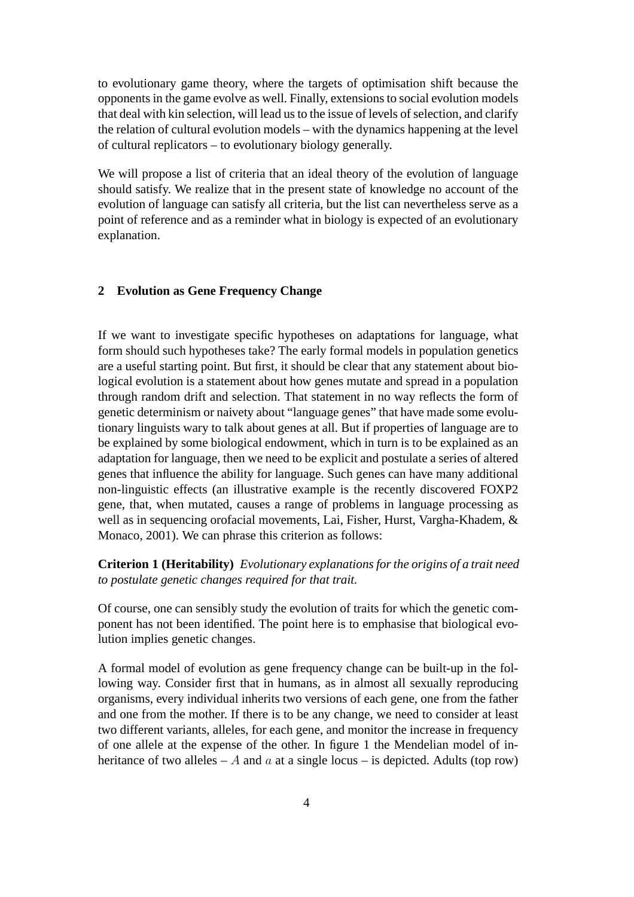to evolutionary game theory, where the targets of optimisation shift because the opponents in the game evolve as well. Finally, extensions to social evolution models that deal with kin selection, will lead us to the issue of levels of selection, and clarify the relation of cultural evolution models – with the dynamics happening at the level of cultural replicators – to evolutionary biology generally.

We will propose a list of criteria that an ideal theory of the evolution of language should satisfy. We realize that in the present state of knowledge no account of the evolution of language can satisfy all criteria, but the list can nevertheless serve as a point of reference and as a reminder what in biology is expected of an evolutionary explanation.

# **2 Evolution as Gene Frequency Change**

If we want to investigate specific hypotheses on adaptations for language, what form should such hypotheses take? The early formal models in population genetics are a useful starting point. But first, it should be clear that any statement about biological evolution is a statement about how genes mutate and spread in a population through random drift and selection. That statement in no way reflects the form of genetic determinism or naivety about "language genes" that have made some evolutionary linguists wary to talk about genes at all. But if properties of language are to be explained by some biological endowment, which in turn is to be explained as an adaptation for language, then we need to be explicit and postulate a series of altered genes that influence the ability for language. Such genes can have many additional non-linguistic effects (an illustrative example is the recently discovered FOXP2 gene, that, when mutated, causes a range of problems in language processing as well as in sequencing orofacial movements, Lai, Fisher, Hurst, Vargha-Khadem, & Monaco, 2001). We can phrase this criterion as follows:

# **Criterion 1 (Heritability)** *Evolutionary explanations for the origins of a trait need to postulate genetic changes required for that trait.*

Of course, one can sensibly study the evolution of traits for which the genetic component has not been identified. The point here is to emphasise that biological evolution implies genetic changes.

A formal model of evolution as gene frequency change can be built-up in the following way. Consider first that in humans, as in almost all sexually reproducing organisms, every individual inherits two versions of each gene, one from the father and one from the mother. If there is to be any change, we need to consider at least two different variants, alleles, for each gene, and monitor the increase in frequency of one allele at the expense of the other. In figure 1 the Mendelian model of inheritance of two alleles – A and a at a single locus – is depicted. Adults (top row)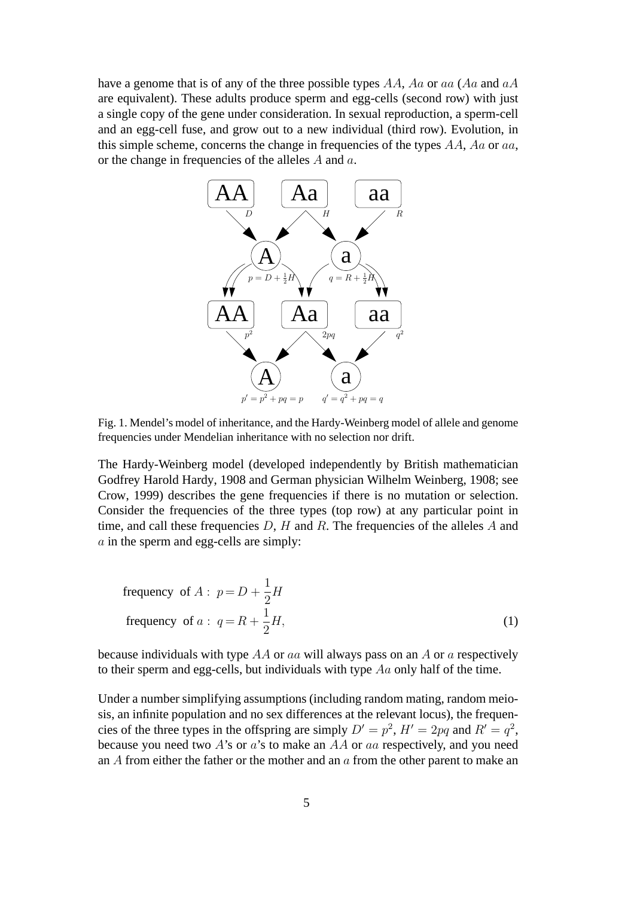have a genome that is of any of the three possible types  $AA$ ,  $Aa$  or aa ( $Aa$  and  $aA$ ) are equivalent). These adults produce sperm and egg-cells (second row) with just a single copy of the gene under consideration. In sexual reproduction, a sperm-cell and an egg-cell fuse, and grow out to a new individual (third row). Evolution, in this simple scheme, concerns the change in frequencies of the types  $AA$ ,  $Aa$  or  $aa$ , or the change in frequencies of the alleles A and a.



Fig. 1. Mendel's model of inheritance, and the Hardy-Weinberg model of allele and genome frequencies under Mendelian inheritance with no selection nor drift.

The Hardy-Weinberg model (developed independently by British mathematician Godfrey Harold Hardy, 1908 and German physician Wilhelm Weinberg, 1908; see Crow, 1999) describes the gene frequencies if there is no mutation or selection. Consider the frequencies of the three types (top row) at any particular point in time, and call these frequencies  $D$ ,  $H$  and  $R$ . The frequencies of the alleles  $A$  and a in the sperm and egg-cells are simply:

frequency of 
$$
A
$$
:  $p = D + \frac{1}{2}H$   
frequency of  $a$ :  $q = R + \frac{1}{2}H$ , (1)

because individuals with type  $AA$  or aa will always pass on an A or a respectively to their sperm and egg-cells, but individuals with type Aa only half of the time.

Under a number simplifying assumptions (including random mating, random meiosis, an infinite population and no sex differences at the relevant locus), the frequencies of the three types in the offspring are simply  $D' = p^2$ ,  $H' = 2pq$  and  $R' = q^2$ , because you need two  $A$ 's or  $a$ 's to make an  $AA$  or  $aa$  respectively, and you need an  $\overline{A}$  from either the father or the mother and an  $\overline{a}$  from the other parent to make an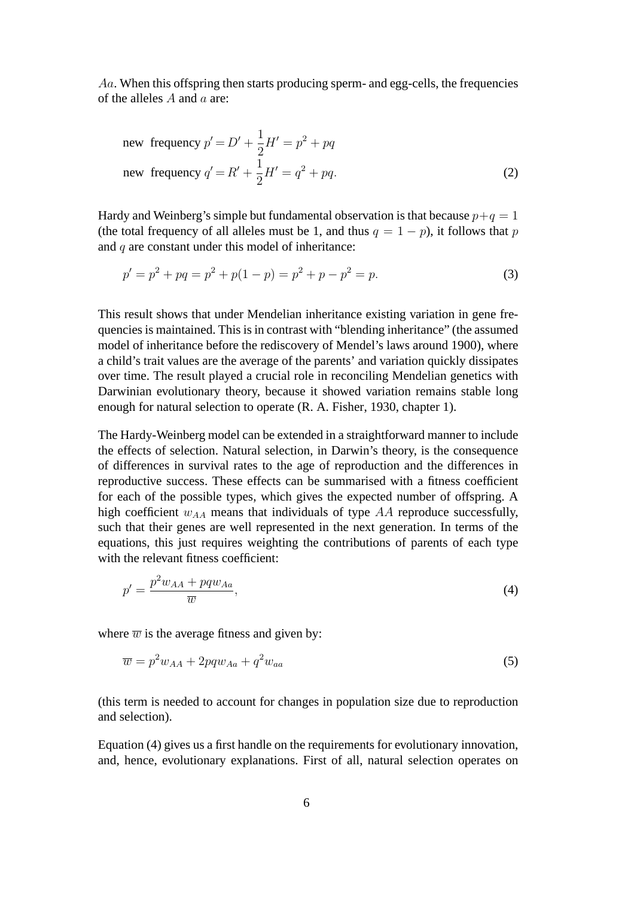Aa. When this offspring then starts producing sperm- and egg-cells, the frequencies of the alleles A and a are:

new frequency 
$$
p' = D' + \frac{1}{2}H' = p^2 + pq
$$
  
new frequency  $q' = R' + \frac{1}{2}H' = q^2 + pq$ . (2)

Hardy and Weinberg's simple but fundamental observation is that because  $p+q = 1$ (the total frequency of all alleles must be 1, and thus  $q = 1 - p$ ), it follows that p and  $q$  are constant under this model of inheritance:

$$
p' = p^2 + pq = p^2 + p(1 - p) = p^2 + p - p^2 = p.
$$
\n(3)

This result shows that under Mendelian inheritance existing variation in gene frequencies is maintained. This is in contrast with "blending inheritance" (the assumed model of inheritance before the rediscovery of Mendel's laws around 1900), where a child's trait values are the average of the parents' and variation quickly dissipates over time. The result played a crucial role in reconciling Mendelian genetics with Darwinian evolutionary theory, because it showed variation remains stable long enough for natural selection to operate (R. A. Fisher, 1930, chapter 1).

The Hardy-Weinberg model can be extended in a straightforward manner to include the effects of selection. Natural selection, in Darwin's theory, is the consequence of differences in survival rates to the age of reproduction and the differences in reproductive success. These effects can be summarised with a fitness coefficient for each of the possible types, which gives the expected number of offspring. A high coefficient  $w_{AA}$  means that individuals of type  $AA$  reproduce successfully, such that their genes are well represented in the next generation. In terms of the equations, this just requires weighting the contributions of parents of each type with the relevant fitness coefficient:

$$
p' = \frac{p^2 w_{AA} + pq w_{Aa}}{\overline{w}},\tag{4}
$$

where  $\overline{w}$  is the average fitness and given by:

$$
\overline{w} = p^2 w_{AA} + 2pq w_{Aa} + q^2 w_{aa} \tag{5}
$$

(this term is needed to account for changes in population size due to reproduction and selection).

Equation (4) gives us a first handle on the requirements for evolutionary innovation, and, hence, evolutionary explanations. First of all, natural selection operates on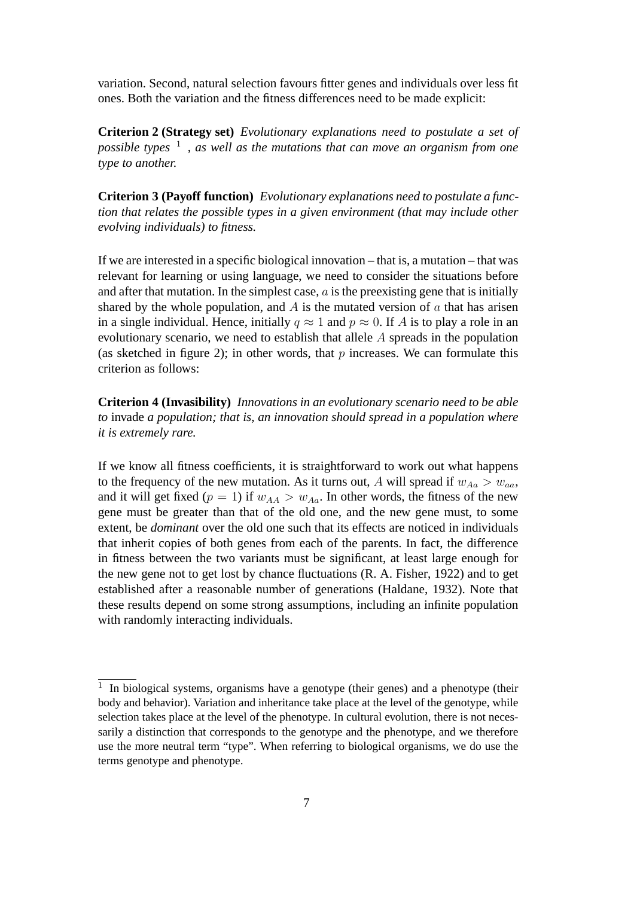variation. Second, natural selection favours fitter genes and individuals over less fit ones. Both the variation and the fitness differences need to be made explicit:

**Criterion 2 (Strategy set)** *Evolutionary explanations need to postulate a set of possible types* <sup>1</sup> *, as well as the mutations that can move an organism from one type to another.*

**Criterion 3 (Payoff function)** *Evolutionary explanations need to postulate a function that relates the possible types in a given environment (that may include other evolving individuals) to fitness.*

If we are interested in a specific biological innovation – that is, a mutation – that was relevant for learning or using language, we need to consider the situations before and after that mutation. In the simplest case,  $a$  is the preexisting gene that is initially shared by the whole population, and  $A$  is the mutated version of  $\alpha$  that has arisen in a single individual. Hence, initially  $q \approx 1$  and  $p \approx 0$ . If A is to play a role in an evolutionary scenario, we need to establish that allele A spreads in the population (as sketched in figure 2); in other words, that  $p$  increases. We can formulate this criterion as follows:

**Criterion 4 (Invasibility)** *Innovations in an evolutionary scenario need to be able to* invade *a population; that is, an innovation should spread in a population where it is extremely rare.*

If we know all fitness coefficients, it is straightforward to work out what happens to the frequency of the new mutation. As it turns out, A will spread if  $w_{Aa} > w_{aa}$ , and it will get fixed ( $p = 1$ ) if  $w_{AA} > w_{Aa}$ . In other words, the fitness of the new gene must be greater than that of the old one, and the new gene must, to some extent, be *dominant* over the old one such that its effects are noticed in individuals that inherit copies of both genes from each of the parents. In fact, the difference in fitness between the two variants must be significant, at least large enough for the new gene not to get lost by chance fluctuations (R. A. Fisher, 1922) and to get established after a reasonable number of generations (Haldane, 1932). Note that these results depend on some strong assumptions, including an infinite population with randomly interacting individuals.

<sup>&</sup>lt;sup>1</sup> In biological systems, organisms have a genotype (their genes) and a phenotype (their body and behavior). Variation and inheritance take place at the level of the genotype, while selection takes place at the level of the phenotype. In cultural evolution, there is not necessarily a distinction that corresponds to the genotype and the phenotype, and we therefore use the more neutral term "type". When referring to biological organisms, we do use the terms genotype and phenotype.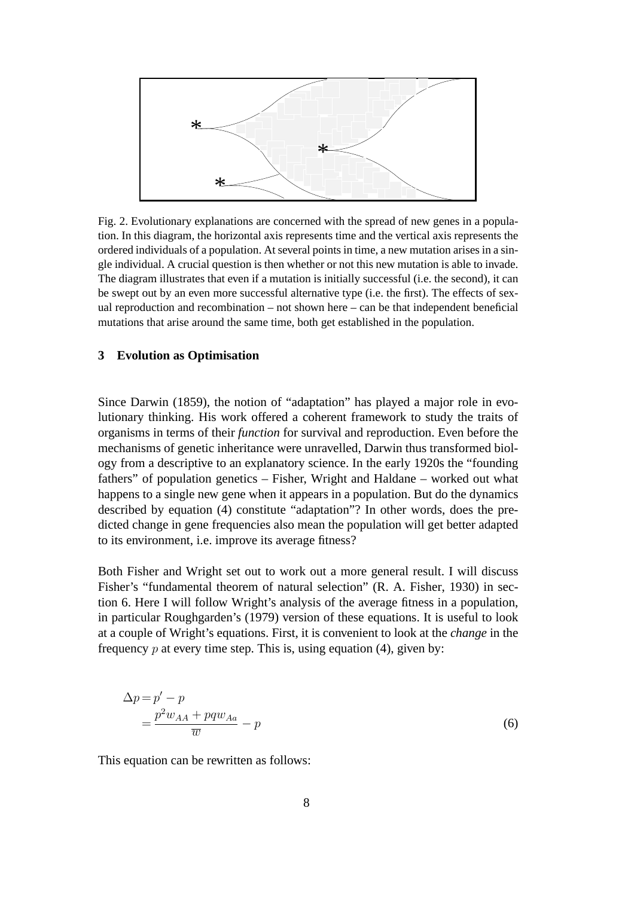

Fig. 2. Evolutionary explanations are concerned with the spread of new genes in a population. In this diagram, the horizontal axis represents time and the vertical axis represents the ordered individuals of a population. At several points in time, a new mutation arises in a single individual. A crucial question is then whether or not this new mutation is able to invade. The diagram illustrates that even if a mutation is initially successful (i.e. the second), it can be swept out by an even more successful alternative type (i.e. the first). The effects of sexual reproduction and recombination – not shown here – can be that independent beneficial mutations that arise around the same time, both get established in the population.

## **3 Evolution as Optimisation**

Since Darwin (1859), the notion of "adaptation" has played a major role in evolutionary thinking. His work offered a coherent framework to study the traits of organisms in terms of their *function* for survival and reproduction. Even before the mechanisms of genetic inheritance were unravelled, Darwin thus transformed biology from a descriptive to an explanatory science. In the early 1920s the "founding fathers" of population genetics – Fisher, Wright and Haldane – worked out what happens to a single new gene when it appears in a population. But do the dynamics described by equation (4) constitute "adaptation"? In other words, does the predicted change in gene frequencies also mean the population will get better adapted to its environment, i.e. improve its average fitness?

Both Fisher and Wright set out to work out a more general result. I will discuss Fisher's "fundamental theorem of natural selection" (R. A. Fisher, 1930) in section 6. Here I will follow Wright's analysis of the average fitness in a population, in particular Roughgarden's (1979) version of these equations. It is useful to look at a couple of Wright's equations. First, it is convenient to look at the *change* in the frequency  $p$  at every time step. This is, using equation (4), given by:

$$
\Delta p = p' - p
$$
  
= 
$$
\frac{p^2 w_{AA} + pq w_{Aa}}{\overline{w}} - p
$$
 (6)

This equation can be rewritten as follows: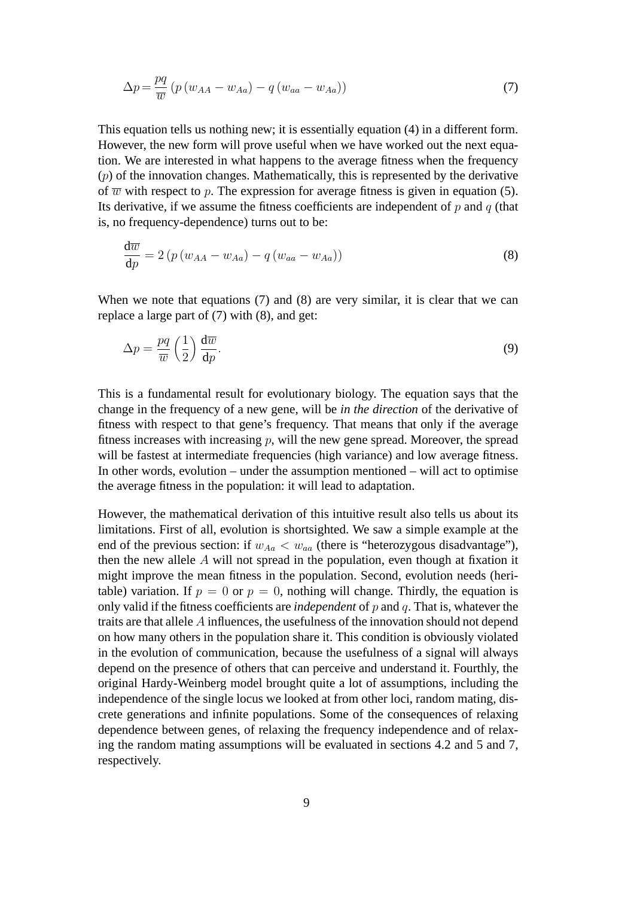$$
\Delta p = \frac{pq}{\overline{w}} \left( p \left( w_{AA} - w_{Aa} \right) - q \left( w_{aa} - w_{Aa} \right) \right) \tag{7}
$$

This equation tells us nothing new; it is essentially equation (4) in a different form. However, the new form will prove useful when we have worked out the next equation. We are interested in what happens to the average fitness when the frequency  $(p)$  of the innovation changes. Mathematically, this is represented by the derivative of  $\overline{w}$  with respect to p. The expression for average fitness is given in equation (5). Its derivative, if we assume the fitness coefficients are independent of  $p$  and  $q$  (that is, no frequency-dependence) turns out to be:

$$
\frac{d\overline{w}}{dp} = 2\left(p\left(w_{AA} - w_{Aa}\right) - q\left(w_{aa} - w_{Aa}\right)\right)
$$
\n(8)

When we note that equations (7) and (8) are very similar, it is clear that we can replace a large part of (7) with (8), and get:

$$
\Delta p = \frac{pq}{\overline{w}} \left(\frac{1}{2}\right) \frac{d\overline{w}}{dp}.\tag{9}
$$

This is a fundamental result for evolutionary biology. The equation says that the change in the frequency of a new gene, will be *in the direction* of the derivative of fitness with respect to that gene's frequency. That means that only if the average fitness increases with increasing  $p$ , will the new gene spread. Moreover, the spread will be fastest at intermediate frequencies (high variance) and low average fitness. In other words, evolution – under the assumption mentioned – will act to optimise the average fitness in the population: it will lead to adaptation.

However, the mathematical derivation of this intuitive result also tells us about its limitations. First of all, evolution is shortsighted. We saw a simple example at the end of the previous section: if  $w_{Aa} < w_{aa}$  (there is "heterozygous disadvantage"), then the new allele  $A$  will not spread in the population, even though at fixation it might improve the mean fitness in the population. Second, evolution needs (heritable) variation. If  $p = 0$  or  $p = 0$ , nothing will change. Thirdly, the equation is only valid if the fitness coefficients are *independent* of p and q. That is, whatever the traits are that allele A influences, the usefulness of the innovation should not depend on how many others in the population share it. This condition is obviously violated in the evolution of communication, because the usefulness of a signal will always depend on the presence of others that can perceive and understand it. Fourthly, the original Hardy-Weinberg model brought quite a lot of assumptions, including the independence of the single locus we looked at from other loci, random mating, discrete generations and infinite populations. Some of the consequences of relaxing dependence between genes, of relaxing the frequency independence and of relaxing the random mating assumptions will be evaluated in sections 4.2 and 5 and 7, respectively.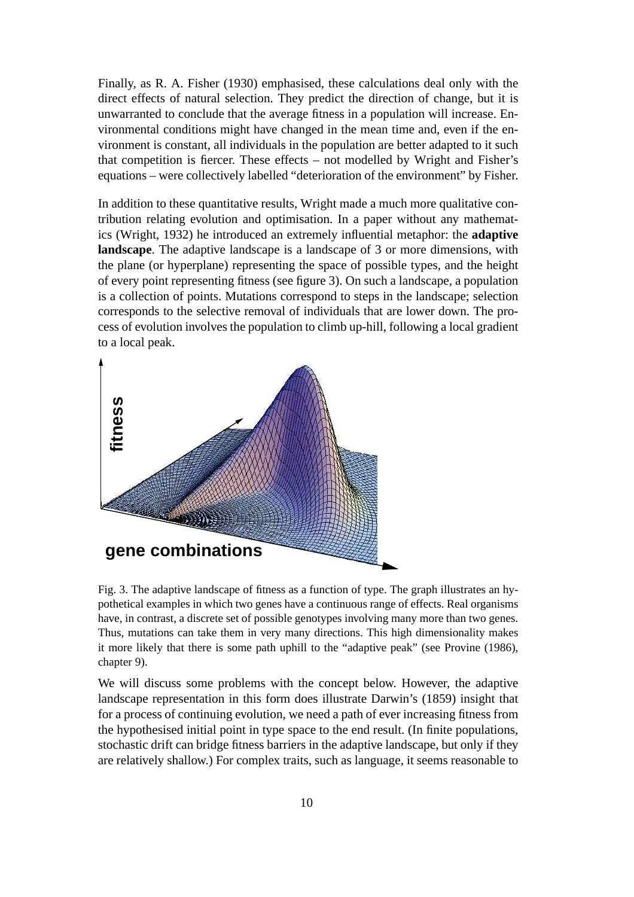Finally, as R. A. Fisher (1930) emphasised, these calculations deal only with the direct effects of natural selection. They predict the direction of change, but it is unwarranted to conclude that the average fitness in a population will increase. Environmental conditions might have changed in the mean time and, even if the environment is constant, all individuals in the population are better adapted to it such that competition is fiercer. These effects – not modelled by Wright and Fisher's equations – were collectively labelled "deterioration of the environment" by Fisher.

In addition to these quantitative results, Wright made a much more qualitative contribution relating evolution and optimisation. In a paper without any mathematics (Wright, 1932) he introduced an extremely influential metaphor: the **adaptive landscape**. The adaptive landscape is a landscape of 3 or more dimensions, with the plane (or hyperplane) representing the space of possible types, and the height of every point representing fitness (see figure 3). On such a landscape, a population is a collection of points. Mutations correspond to steps in the landscape; selection corresponds to the selective removal of individuals that are lower down. The process of evolution involves the population to climb up-hill, following a local gradient to a local peak.



Fig. 3. The adaptive landscape of fitness as a function of type. The graph illustrates an hypothetical examples in which two genes have a continuous range of effects. Real organisms have, in contrast, a discrete set of possible genotypes involving many more than two genes. Thus, mutations can take them in very many directions. This high dimensionality makes it more likely that there is some path uphill to the "adaptive peak" (see Provine (1986), chapter 9).

We will discuss some problems with the concept below. However, the adaptive landscape representation in this form does illustrate Darwin's (1859) insight that for a process of continuing evolution, we need a path of ever increasing fitness from the hypothesised initial point in type space to the end result. (In finite populations, stochastic drift can bridge fitness barriers in the adaptive landscape, but only if they are relatively shallow.) For complex traits, such as language, it seems reasonable to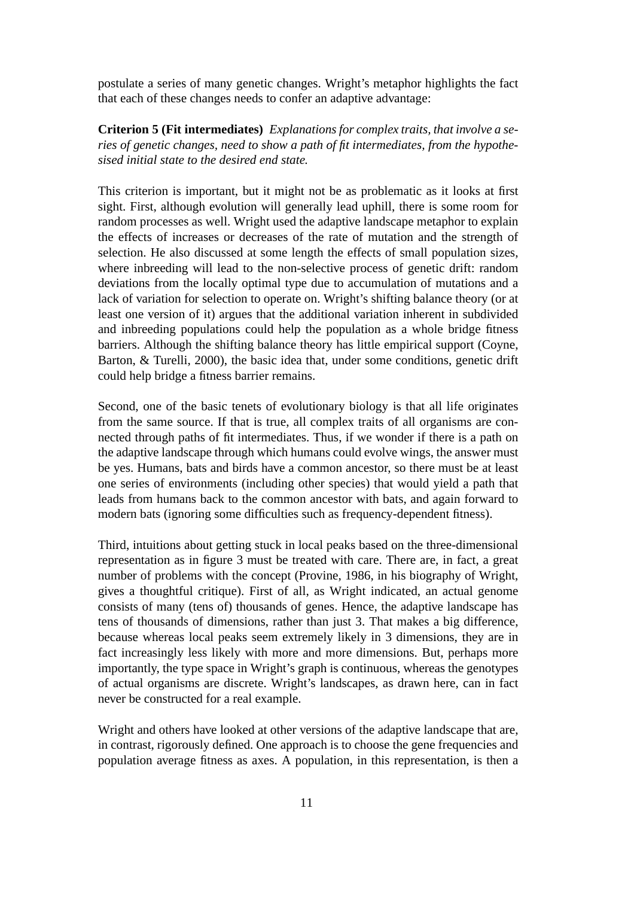postulate a series of many genetic changes. Wright's metaphor highlights the fact that each of these changes needs to confer an adaptive advantage:

**Criterion 5 (Fit intermediates)** *Explanations for complex traits, that involve a series of genetic changes, need to show a path of fit intermediates, from the hypothesised initial state to the desired end state.*

This criterion is important, but it might not be as problematic as it looks at first sight. First, although evolution will generally lead uphill, there is some room for random processes as well. Wright used the adaptive landscape metaphor to explain the effects of increases or decreases of the rate of mutation and the strength of selection. He also discussed at some length the effects of small population sizes, where inbreeding will lead to the non-selective process of genetic drift: random deviations from the locally optimal type due to accumulation of mutations and a lack of variation for selection to operate on. Wright's shifting balance theory (or at least one version of it) argues that the additional variation inherent in subdivided and inbreeding populations could help the population as a whole bridge fitness barriers. Although the shifting balance theory has little empirical support (Coyne, Barton, & Turelli, 2000), the basic idea that, under some conditions, genetic drift could help bridge a fitness barrier remains.

Second, one of the basic tenets of evolutionary biology is that all life originates from the same source. If that is true, all complex traits of all organisms are connected through paths of fit intermediates. Thus, if we wonder if there is a path on the adaptive landscape through which humans could evolve wings, the answer must be yes. Humans, bats and birds have a common ancestor, so there must be at least one series of environments (including other species) that would yield a path that leads from humans back to the common ancestor with bats, and again forward to modern bats (ignoring some difficulties such as frequency-dependent fitness).

Third, intuitions about getting stuck in local peaks based on the three-dimensional representation as in figure 3 must be treated with care. There are, in fact, a great number of problems with the concept (Provine, 1986, in his biography of Wright, gives a thoughtful critique). First of all, as Wright indicated, an actual genome consists of many (tens of) thousands of genes. Hence, the adaptive landscape has tens of thousands of dimensions, rather than just 3. That makes a big difference, because whereas local peaks seem extremely likely in 3 dimensions, they are in fact increasingly less likely with more and more dimensions. But, perhaps more importantly, the type space in Wright's graph is continuous, whereas the genotypes of actual organisms are discrete. Wright's landscapes, as drawn here, can in fact never be constructed for a real example.

Wright and others have looked at other versions of the adaptive landscape that are, in contrast, rigorously defined. One approach is to choose the gene frequencies and population average fitness as axes. A population, in this representation, is then a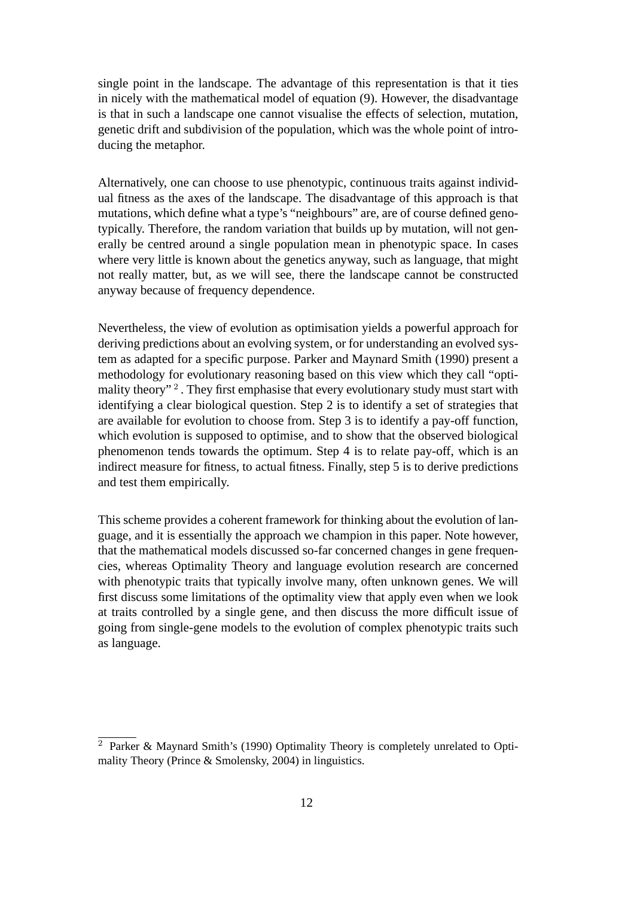single point in the landscape. The advantage of this representation is that it ties in nicely with the mathematical model of equation (9). However, the disadvantage is that in such a landscape one cannot visualise the effects of selection, mutation, genetic drift and subdivision of the population, which was the whole point of introducing the metaphor.

Alternatively, one can choose to use phenotypic, continuous traits against individual fitness as the axes of the landscape. The disadvantage of this approach is that mutations, which define what a type's "neighbours" are, are of course defined genotypically. Therefore, the random variation that builds up by mutation, will not generally be centred around a single population mean in phenotypic space. In cases where very little is known about the genetics anyway, such as language, that might not really matter, but, as we will see, there the landscape cannot be constructed anyway because of frequency dependence.

Nevertheless, the view of evolution as optimisation yields a powerful approach for deriving predictions about an evolving system, or for understanding an evolved system as adapted for a specific purpose. Parker and Maynard Smith (1990) present a methodology for evolutionary reasoning based on this view which they call "optimality theory"<sup>2</sup>. They first emphasise that every evolutionary study must start with identifying a clear biological question. Step 2 is to identify a set of strategies that are available for evolution to choose from. Step 3 is to identify a pay-off function, which evolution is supposed to optimise, and to show that the observed biological phenomenon tends towards the optimum. Step 4 is to relate pay-off, which is an indirect measure for fitness, to actual fitness. Finally, step 5 is to derive predictions and test them empirically.

This scheme provides a coherent framework for thinking about the evolution of language, and it is essentially the approach we champion in this paper. Note however, that the mathematical models discussed so-far concerned changes in gene frequencies, whereas Optimality Theory and language evolution research are concerned with phenotypic traits that typically involve many, often unknown genes. We will first discuss some limitations of the optimality view that apply even when we look at traits controlled by a single gene, and then discuss the more difficult issue of going from single-gene models to the evolution of complex phenotypic traits such as language.

<sup>2</sup> Parker & Maynard Smith's (1990) Optimality Theory is completely unrelated to Optimality Theory (Prince & Smolensky, 2004) in linguistics.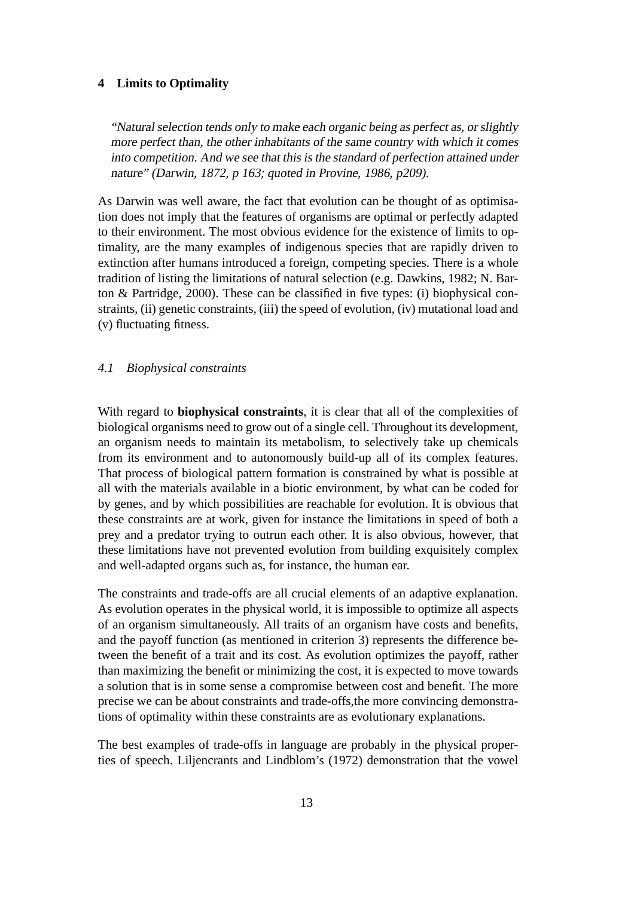#### **4 Limits to Optimality**

"Natural selection tends only to make each organic being as perfect as, or slightly more perfect than, the other inhabitants of the same country with which it comes into competition. And we see that this is the standard of perfection attained under nature" (Darwin, 1872, <sup>p</sup> 163; quoted in Provine, 1986, p209).

As Darwin was well aware, the fact that evolution can be thought of as optimisation does not imply that the features of organisms are optimal or perfectly adapted to their environment. The most obvious evidence for the existence of limits to optimality, are the many examples of indigenous species that are rapidly driven to extinction after humans introduced a foreign, competing species. There is a whole tradition of listing the limitations of natural selection (e.g. Dawkins, 1982; N. Barton & Partridge, 2000). These can be classified in five types: (i) biophysical constraints, (ii) genetic constraints, (iii) the speed of evolution, (iv) mutational load and (v) fluctuating fitness.

# *4.1 Biophysical constraints*

With regard to **biophysical constraints**, it is clear that all of the complexities of biological organisms need to grow out of a single cell. Throughout its development, an organism needs to maintain its metabolism, to selectively take up chemicals from its environment and to autonomously build-up all of its complex features. That process of biological pattern formation is constrained by what is possible at all with the materials available in a biotic environment, by what can be coded for by genes, and by which possibilities are reachable for evolution. It is obvious that these constraints are at work, given for instance the limitations in speed of both a prey and a predator trying to outrun each other. It is also obvious, however, that these limitations have not prevented evolution from building exquisitely complex and well-adapted organs such as, for instance, the human ear.

The constraints and trade-offs are all crucial elements of an adaptive explanation. As evolution operates in the physical world, it is impossible to optimize all aspects of an organism simultaneously. All traits of an organism have costs and benefits, and the payoff function (as mentioned in criterion 3) represents the difference between the benefit of a trait and its cost. As evolution optimizes the payoff, rather than maximizing the benefit or minimizing the cost, it is expected to move towards a solution that is in some sense a compromise between cost and benefit. The more precise we can be about constraints and trade-offs,the more convincing demonstrations of optimality within these constraints are as evolutionary explanations.

The best examples of trade-offs in language are probably in the physical properties of speech. Liljencrants and Lindblom's (1972) demonstration that the vowel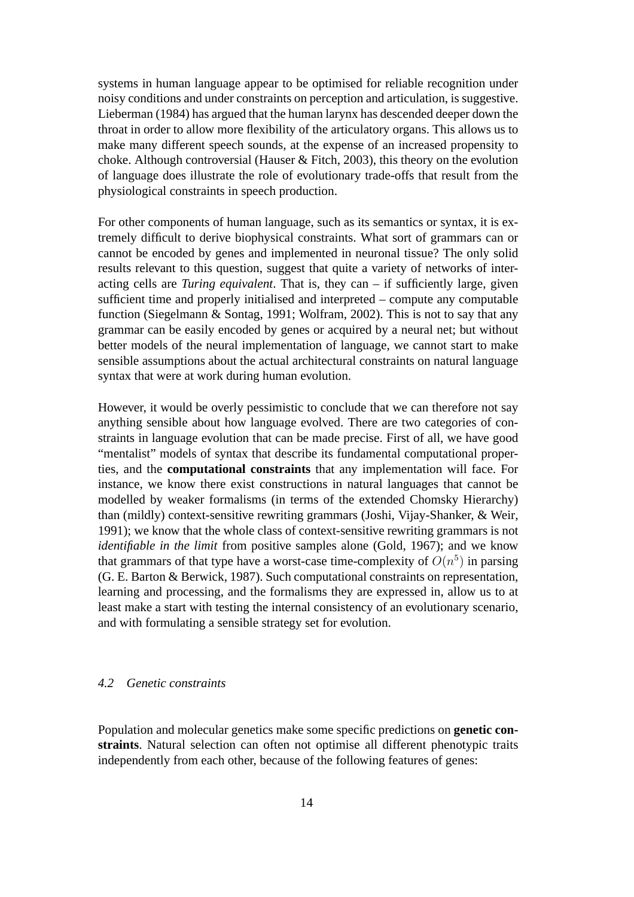systems in human language appear to be optimised for reliable recognition under noisy conditions and under constraints on perception and articulation, is suggestive. Lieberman (1984) has argued that the human larynx has descended deeper down the throat in order to allow more flexibility of the articulatory organs. This allows us to make many different speech sounds, at the expense of an increased propensity to choke. Although controversial (Hauser & Fitch, 2003), this theory on the evolution of language does illustrate the role of evolutionary trade-offs that result from the physiological constraints in speech production.

For other components of human language, such as its semantics or syntax, it is extremely difficult to derive biophysical constraints. What sort of grammars can or cannot be encoded by genes and implemented in neuronal tissue? The only solid results relevant to this question, suggest that quite a variety of networks of interacting cells are *Turing equivalent*. That is, they can – if sufficiently large, given sufficient time and properly initialised and interpreted – compute any computable function (Siegelmann & Sontag, 1991; Wolfram, 2002). This is not to say that any grammar can be easily encoded by genes or acquired by a neural net; but without better models of the neural implementation of language, we cannot start to make sensible assumptions about the actual architectural constraints on natural language syntax that were at work during human evolution.

However, it would be overly pessimistic to conclude that we can therefore not say anything sensible about how language evolved. There are two categories of constraints in language evolution that can be made precise. First of all, we have good "mentalist" models of syntax that describe its fundamental computational properties, and the **computational constraints** that any implementation will face. For instance, we know there exist constructions in natural languages that cannot be modelled by weaker formalisms (in terms of the extended Chomsky Hierarchy) than (mildly) context-sensitive rewriting grammars (Joshi, Vijay-Shanker, & Weir, 1991); we know that the whole class of context-sensitive rewriting grammars is not *identifiable in the limit* from positive samples alone (Gold, 1967); and we know that grammars of that type have a worst-case time-complexity of  $O(n^5)$  in parsing (G. E. Barton & Berwick, 1987). Such computational constraints on representation, learning and processing, and the formalisms they are expressed in, allow us to at least make a start with testing the internal consistency of an evolutionary scenario, and with formulating a sensible strategy set for evolution.

## *4.2 Genetic constraints*

Population and molecular genetics make some specific predictions on **genetic constraints**. Natural selection can often not optimise all different phenotypic traits independently from each other, because of the following features of genes: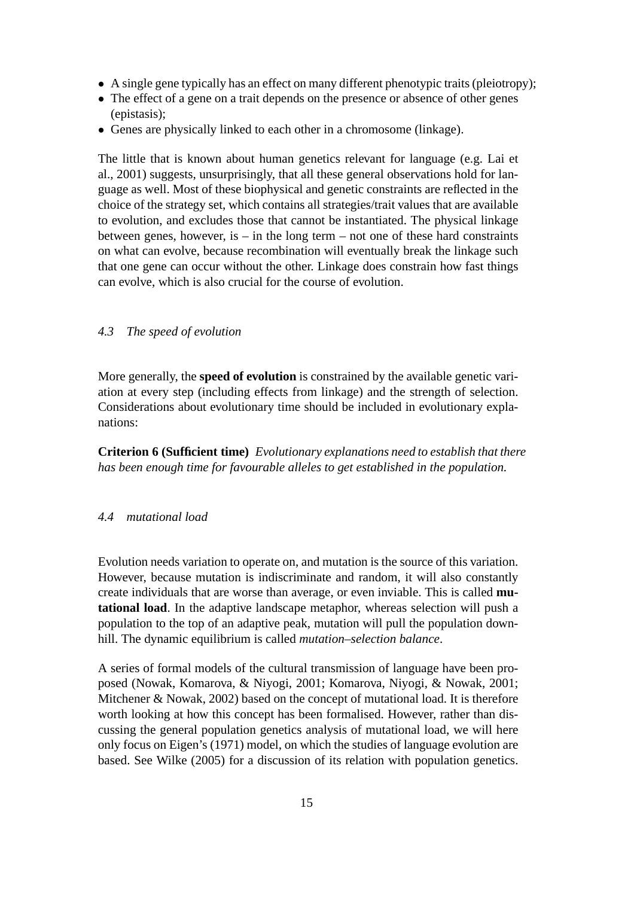- A single gene typically has an effect on many different phenotypic traits (pleiotropy);
- The effect of a gene on a trait depends on the presence or absence of other genes (epistasis);
- Genes are physically linked to each other in a chromosome (linkage).

The little that is known about human genetics relevant for language (e.g. Lai et al., 2001) suggests, unsurprisingly, that all these general observations hold for language as well. Most of these biophysical and genetic constraints are reflected in the choice of the strategy set, which contains all strategies/trait values that are available to evolution, and excludes those that cannot be instantiated. The physical linkage between genes, however, is  $-$  in the long term  $-$  not one of these hard constraints on what can evolve, because recombination will eventually break the linkage such that one gene can occur without the other. Linkage does constrain how fast things can evolve, which is also crucial for the course of evolution.

#### *4.3 The speed of evolution*

More generally, the **speed of evolution** is constrained by the available genetic variation at every step (including effects from linkage) and the strength of selection. Considerations about evolutionary time should be included in evolutionary explanations:

**Criterion 6 (Sufficient time)** *Evolutionary explanations need to establish that there has been enough time for favourable alleles to get established in the population.*

#### *4.4 mutational load*

Evolution needs variation to operate on, and mutation is the source of this variation. However, because mutation is indiscriminate and random, it will also constantly create individuals that are worse than average, or even inviable. This is called **mutational load**. In the adaptive landscape metaphor, whereas selection will push a population to the top of an adaptive peak, mutation will pull the population downhill. The dynamic equilibrium is called *mutation–selection balance*.

A series of formal models of the cultural transmission of language have been proposed (Nowak, Komarova, & Niyogi, 2001; Komarova, Niyogi, & Nowak, 2001; Mitchener & Nowak, 2002) based on the concept of mutational load. It is therefore worth looking at how this concept has been formalised. However, rather than discussing the general population genetics analysis of mutational load, we will here only focus on Eigen's (1971) model, on which the studies of language evolution are based. See Wilke (2005) for a discussion of its relation with population genetics.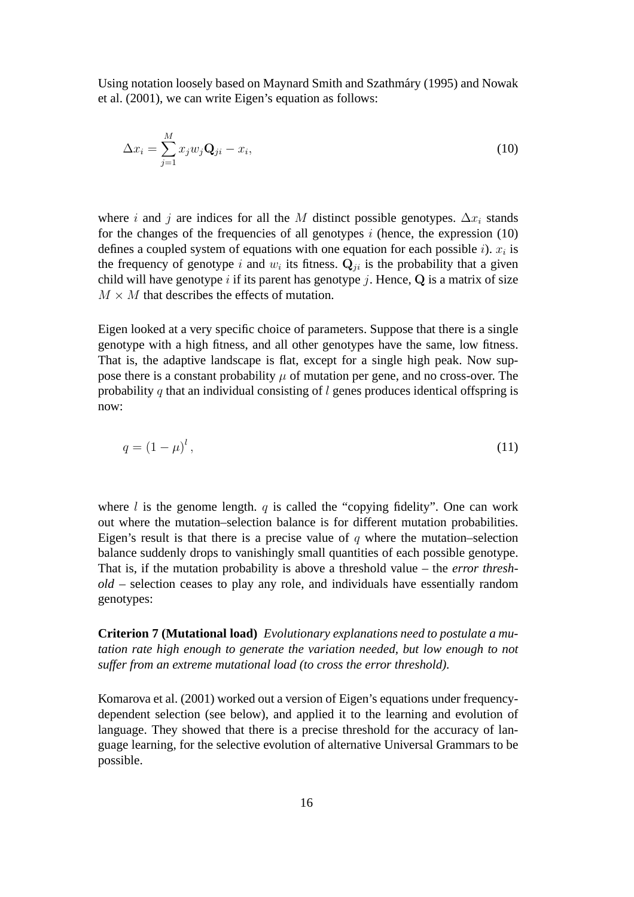Using notation loosely based on Maynard Smith and Szathmary (1995) and Nowak ´ et al. (2001), we can write Eigen's equation as follows:

$$
\Delta x_i = \sum_{j=1}^{M} x_j w_j \mathbf{Q}_{ji} - x_i,
$$
\n(10)

where i and j are indices for all the M distinct possible genotypes.  $\Delta x_i$  stands for the changes of the frequencies of all genotypes  $i$  (hence, the expression  $(10)$ ) defines a coupled system of equations with one equation for each possible *i*).  $x_i$  is the frequency of genotype i and  $w_i$  its fitness.  $\mathbf{Q}_{ji}$  is the probability that a given child will have genotype i if its parent has genotype j. Hence,  $Q$  is a matrix of size  $M \times M$  that describes the effects of mutation.

Eigen looked at a very specific choice of parameters. Suppose that there is a single genotype with a high fitness, and all other genotypes have the same, low fitness. That is, the adaptive landscape is flat, except for a single high peak. Now suppose there is a constant probability  $\mu$  of mutation per gene, and no cross-over. The probability q that an individual consisting of  $l$  genes produces identical offspring is now:

$$
q = \left(1 - \mu\right)^l,\tag{11}
$$

where  $l$  is the genome length.  $q$  is called the "copying fidelity". One can work out where the mutation–selection balance is for different mutation probabilities. Eigen's result is that there is a precise value of  $q$  where the mutation–selection balance suddenly drops to vanishingly small quantities of each possible genotype. That is, if the mutation probability is above a threshold value – the *error threshold* – selection ceases to play any role, and individuals have essentially random genotypes:

**Criterion 7 (Mutational load)** *Evolutionary explanations need to postulate a mutation rate high enough to generate the variation needed, but low enough to not suffer from an extreme mutational load (to cross the error threshold).*

Komarova et al. (2001) worked out a version of Eigen's equations under frequencydependent selection (see below), and applied it to the learning and evolution of language. They showed that there is a precise threshold for the accuracy of language learning, for the selective evolution of alternative Universal Grammars to be possible.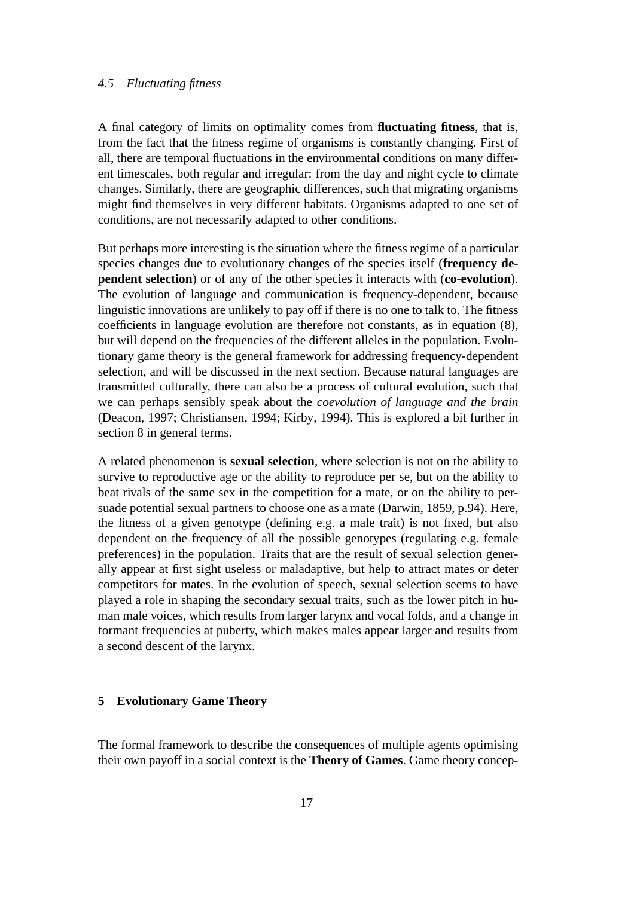## *4.5 Fluctuating fitness*

A final category of limits on optimality comes from **fluctuating fitness**, that is, from the fact that the fitness regime of organisms is constantly changing. First of all, there are temporal fluctuations in the environmental conditions on many different timescales, both regular and irregular: from the day and night cycle to climate changes. Similarly, there are geographic differences, such that migrating organisms might find themselves in very different habitats. Organisms adapted to one set of conditions, are not necessarily adapted to other conditions.

But perhaps more interesting is the situation where the fitness regime of a particular species changes due to evolutionary changes of the species itself (**frequency dependent selection**) or of any of the other species it interacts with (**co-evolution**). The evolution of language and communication is frequency-dependent, because linguistic innovations are unlikely to pay off if there is no one to talk to. The fitness coefficients in language evolution are therefore not constants, as in equation (8), but will depend on the frequencies of the different alleles in the population. Evolutionary game theory is the general framework for addressing frequency-dependent selection, and will be discussed in the next section. Because natural languages are transmitted culturally, there can also be a process of cultural evolution, such that we can perhaps sensibly speak about the *coevolution of language and the brain* (Deacon, 1997; Christiansen, 1994; Kirby, 1994). This is explored a bit further in section 8 in general terms.

A related phenomenon is **sexual selection**, where selection is not on the ability to survive to reproductive age or the ability to reproduce per se, but on the ability to beat rivals of the same sex in the competition for a mate, or on the ability to persuade potential sexual partners to choose one as a mate (Darwin, 1859, p.94). Here, the fitness of a given genotype (defining e.g. a male trait) is not fixed, but also dependent on the frequency of all the possible genotypes (regulating e.g. female preferences) in the population. Traits that are the result of sexual selection generally appear at first sight useless or maladaptive, but help to attract mates or deter competitors for mates. In the evolution of speech, sexual selection seems to have played a role in shaping the secondary sexual traits, such as the lower pitch in human male voices, which results from larger larynx and vocal folds, and a change in formant frequencies at puberty, which makes males appear larger and results from a second descent of the larynx.

# **5 Evolutionary Game Theory**

The formal framework to describe the consequences of multiple agents optimising their own payoff in a social context is the **Theory of Games**. Game theory concep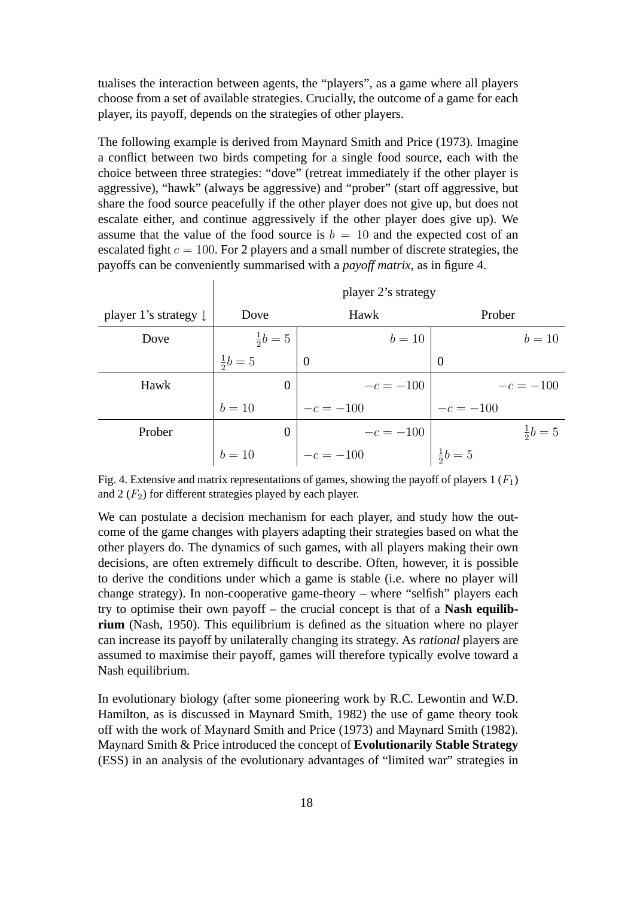tualises the interaction between agents, the "players", as a game where all players choose from a set of available strategies. Crucially, the outcome of a game for each player, its payoff, depends on the strategies of other players.

The following example is derived from Maynard Smith and Price (1973). Imagine a conflict between two birds competing for a single food source, each with the choice between three strategies: "dove" (retreat immediately if the other player is aggressive), "hawk" (always be aggressive) and "prober" (start off aggressive, but share the food source peacefully if the other player does not give up, but does not escalate either, and continue aggressively if the other player does give up). We assume that the value of the food source is  $b = 10$  and the expected cost of an escalated fight  $c = 100$ . For 2 players and a small number of discrete strategies, the payoffs can be conveniently summarised with a *payoff matrix*, as in figure 4.

|                                  | player 2's strategy |                |                  |  |  |  |  |  |  |
|----------------------------------|---------------------|----------------|------------------|--|--|--|--|--|--|
| player 1's strategy $\downarrow$ | Dove                | Hawk           | Prober           |  |  |  |  |  |  |
| Dove                             | $rac{1}{2}b = 5$    | $b=10$         | $b=10$           |  |  |  |  |  |  |
|                                  | $rac{1}{2}b = 5$    | $\overline{0}$ | $\overline{0}$   |  |  |  |  |  |  |
| Hawk                             | 0                   | $-c = -100$    | $-c = -100$      |  |  |  |  |  |  |
|                                  | $b=10$              | $-c = -100$    | $-c = -100$      |  |  |  |  |  |  |
| Prober                           | $\theta$            | $-c = -100$    | $rac{1}{2}b = 5$ |  |  |  |  |  |  |
|                                  | $b=10$              | $-c = -100$    | $rac{1}{2}b = 5$ |  |  |  |  |  |  |

Fig. 4. Extensive and matrix representations of games, showing the payoff of players  $1(F_1)$ and  $2(F_2)$  for different strategies played by each player.

We can postulate a decision mechanism for each player, and study how the outcome of the game changes with players adapting their strategies based on what the other players do. The dynamics of such games, with all players making their own decisions, are often extremely difficult to describe. Often, however, it is possible to derive the conditions under which a game is stable (i.e. where no player will change strategy). In non-cooperative game-theory – where "selfish" players each try to optimise their own payoff – the crucial concept is that of a **Nash equilibrium** (Nash, 1950). This equilibrium is defined as the situation where no player can increase its payoff by unilaterally changing its strategy. As *rational* players are assumed to maximise their payoff, games will therefore typically evolve toward a Nash equilibrium.

In evolutionary biology (after some pioneering work by R.C. Lewontin and W.D. Hamilton, as is discussed in Maynard Smith, 1982) the use of game theory took off with the work of Maynard Smith and Price (1973) and Maynard Smith (1982). Maynard Smith & Price introduced the concept of **Evolutionarily Stable Strategy** (ESS) in an analysis of the evolutionary advantages of "limited war" strategies in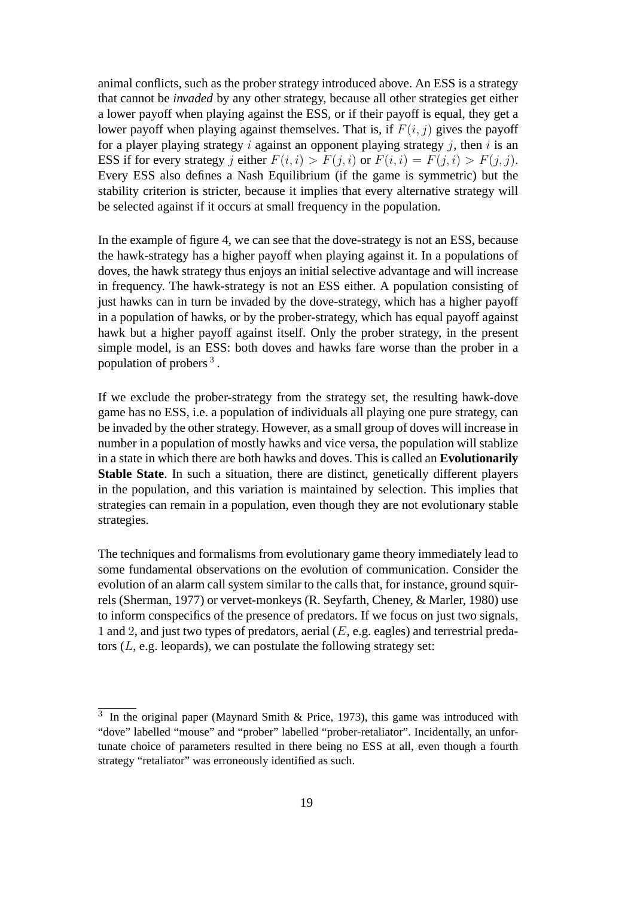animal conflicts, such as the prober strategy introduced above. An ESS is a strategy that cannot be *invaded* by any other strategy, because all other strategies get either a lower payoff when playing against the ESS, or if their payoff is equal, they get a lower payoff when playing against themselves. That is, if  $F(i, j)$  gives the payoff for a player playing strategy i against an opponent playing strategy j, then i is an ESS if for every strategy j either  $F(i, i) > F(j, i)$  or  $F(i, i) = F(j, i) > F(j, j)$ . Every ESS also defines a Nash Equilibrium (if the game is symmetric) but the stability criterion is stricter, because it implies that every alternative strategy will be selected against if it occurs at small frequency in the population.

In the example of figure 4, we can see that the dove-strategy is not an ESS, because the hawk-strategy has a higher payoff when playing against it. In a populations of doves, the hawk strategy thus enjoys an initial selective advantage and will increase in frequency. The hawk-strategy is not an ESS either. A population consisting of just hawks can in turn be invaded by the dove-strategy, which has a higher payoff in a population of hawks, or by the prober-strategy, which has equal payoff against hawk but a higher payoff against itself. Only the prober strategy, in the present simple model, is an ESS: both doves and hawks fare worse than the prober in a population of probers<sup>3</sup>.

If we exclude the prober-strategy from the strategy set, the resulting hawk-dove game has no ESS, i.e. a population of individuals all playing one pure strategy, can be invaded by the other strategy. However, as a small group of doves will increase in number in a population of mostly hawks and vice versa, the population will stablize in a state in which there are both hawks and doves. This is called an **Evolutionarily Stable State**. In such a situation, there are distinct, genetically different players in the population, and this variation is maintained by selection. This implies that strategies can remain in a population, even though they are not evolutionary stable strategies.

The techniques and formalisms from evolutionary game theory immediately lead to some fundamental observations on the evolution of communication. Consider the evolution of an alarm call system similar to the calls that, for instance, ground squirrels (Sherman, 1977) or vervet-monkeys (R. Seyfarth, Cheney, & Marler, 1980) use to inform conspecifics of the presence of predators. If we focus on just two signals, 1 and 2, and just two types of predators, aerial  $(E, e.g.$  eagles) and terrestrial predators  $(L, e.g.$  leopards), we can postulate the following strategy set:

 $3\,$  In the original paper (Maynard Smith & Price, 1973), this game was introduced with "dove" labelled "mouse" and "prober" labelled "prober-retaliator". Incidentally, an unfortunate choice of parameters resulted in there being no ESS at all, even though a fourth strategy "retaliator" was erroneously identified as such.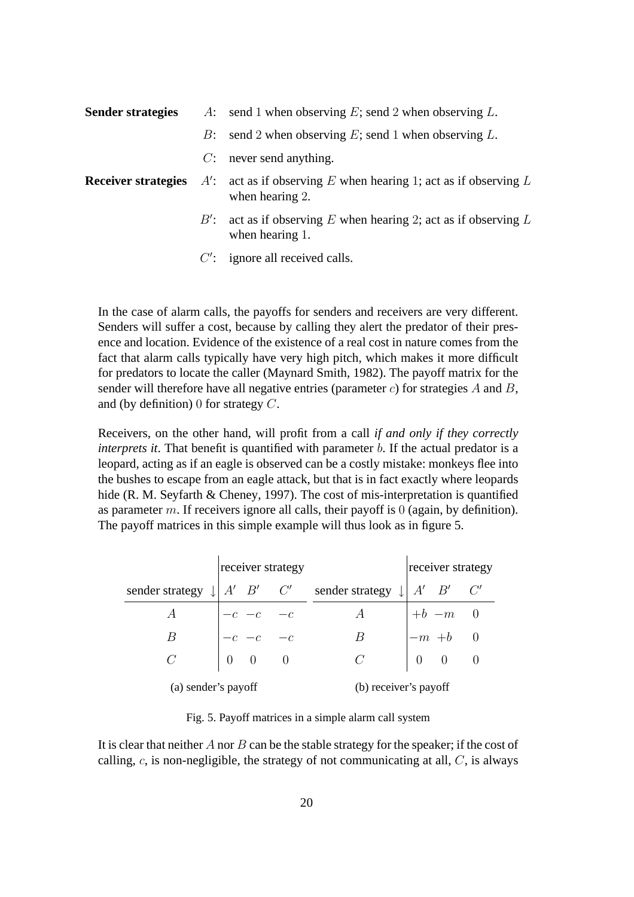| <b>Sender strategies</b> |       | A: send 1 when observing E; send 2 when observing L.                                                             |  |  |
|--------------------------|-------|------------------------------------------------------------------------------------------------------------------|--|--|
|                          | $B$ : | send 2 when observing E; send 1 when observing $L$ .                                                             |  |  |
|                          |       | $C$ : never send anything.                                                                                       |  |  |
|                          |       | <b>Receiver strategies</b> $A'$ : act as if observing E when hearing 1; act as if observing L<br>when hearing 2. |  |  |
|                          |       | B': act as if observing E when hearing 2; act as if observing L<br>when hearing 1.                               |  |  |
|                          |       | $C'$ : ignore all received calls.                                                                                |  |  |

In the case of alarm calls, the payoffs for senders and receivers are very different. Senders will suffer a cost, because by calling they alert the predator of their presence and location. Evidence of the existence of a real cost in nature comes from the fact that alarm calls typically have very high pitch, which makes it more difficult for predators to locate the caller (Maynard Smith, 1982). The payoff matrix for the sender will therefore have all negative entries (parameter  $c$ ) for strategies  $A$  and  $B$ , and (by definition) 0 for strategy C.

Receivers, on the other hand, will profit from a call *if and only if they correctly interprets it*. That benefit is quantified with parameter b. If the actual predator is a leopard, acting as if an eagle is observed can be a costly mistake: monkeys flee into the bushes to escape from an eagle attack, but that is in fact exactly where leopards hide (R. M. Seyfarth & Cheney, 1997). The cost of mis-interpretation is quantified as parameter m. If receivers ignore all calls, their payoff is  $0$  (again, by definition). The payoff matrices in this simple example will thus look as in figure 5.

|                                             | receiver strategy |                                                                         |                       |                              | receiver strategy |                                                                         |  |
|---------------------------------------------|-------------------|-------------------------------------------------------------------------|-----------------------|------------------------------|-------------------|-------------------------------------------------------------------------|--|
| sender strategy $\downarrow$ $A'$ $B'$ $C'$ |                   |                                                                         |                       | sender strategy $\downarrow$ |                   | $A'$ $B'$ $C'$                                                          |  |
| А                                           |                   |                                                                         |                       | А                            |                   |                                                                         |  |
| В                                           |                   | $\begin{vmatrix} -c & -c & -c \ -c & -c & -c \ 0 & 0 & 0 \end{vmatrix}$ |                       | В                            |                   | $\begin{vmatrix} +b & -m & 0 \\ -m & +b & 0 \\ 0 & 0 & 0 \end{vmatrix}$ |  |
| $\mathcal{C}$                               |                   |                                                                         |                       | $\mathcal C$                 |                   |                                                                         |  |
| (a) sender's payoff                         |                   |                                                                         | (b) receiver's payoff |                              |                   |                                                                         |  |

Fig. 5. Payoff matrices in a simple alarm call system

It is clear that neither  $A$  nor  $B$  can be the stable strategy for the speaker; if the cost of calling,  $c$ , is non-negligible, the strategy of not communicating at all,  $C$ , is always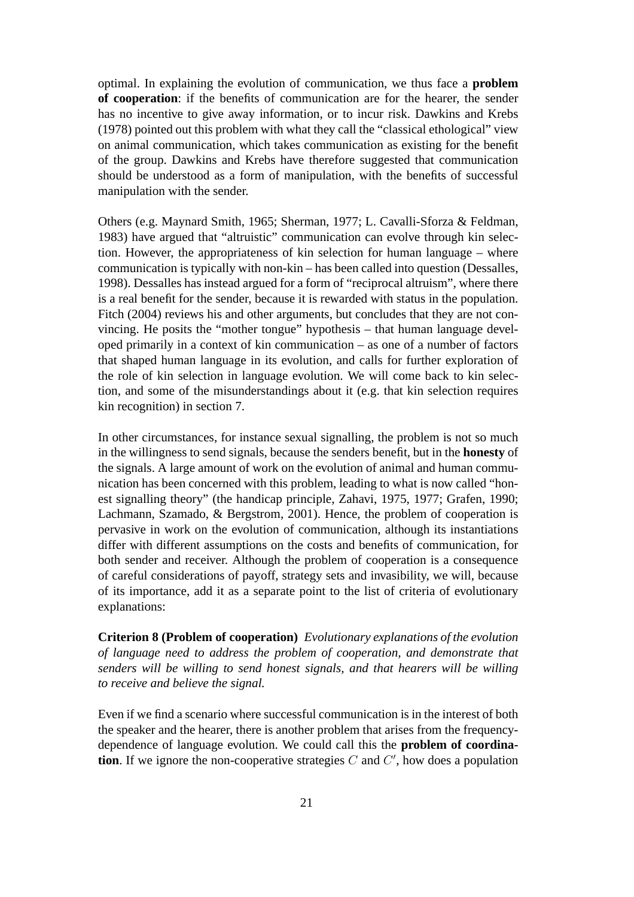optimal. In explaining the evolution of communication, we thus face a **problem of cooperation**: if the benefits of communication are for the hearer, the sender has no incentive to give away information, or to incur risk. Dawkins and Krebs (1978) pointed out this problem with what they call the "classical ethological" view on animal communication, which takes communication as existing for the benefit of the group. Dawkins and Krebs have therefore suggested that communication should be understood as a form of manipulation, with the benefits of successful manipulation with the sender.

Others (e.g. Maynard Smith, 1965; Sherman, 1977; L. Cavalli-Sforza & Feldman, 1983) have argued that "altruistic" communication can evolve through kin selection. However, the appropriateness of kin selection for human language – where communication is typically with non-kin – has been called into question (Dessalles, 1998). Dessalles has instead argued for a form of "reciprocal altruism", where there is a real benefit for the sender, because it is rewarded with status in the population. Fitch (2004) reviews his and other arguments, but concludes that they are not convincing. He posits the "mother tongue" hypothesis – that human language developed primarily in a context of kin communication – as one of a number of factors that shaped human language in its evolution, and calls for further exploration of the role of kin selection in language evolution. We will come back to kin selection, and some of the misunderstandings about it (e.g. that kin selection requires kin recognition) in section 7.

In other circumstances, for instance sexual signalling, the problem is not so much in the willingness to send signals, because the senders benefit, but in the **honesty** of the signals. A large amount of work on the evolution of animal and human communication has been concerned with this problem, leading to what is now called "honest signalling theory" (the handicap principle, Zahavi, 1975, 1977; Grafen, 1990; Lachmann, Szamado, & Bergstrom, 2001). Hence, the problem of cooperation is pervasive in work on the evolution of communication, although its instantiations differ with different assumptions on the costs and benefits of communication, for both sender and receiver. Although the problem of cooperation is a consequence of careful considerations of payoff, strategy sets and invasibility, we will, because of its importance, add it as a separate point to the list of criteria of evolutionary explanations:

**Criterion 8 (Problem of cooperation)** *Evolutionary explanations of the evolution of language need to address the problem of cooperation, and demonstrate that senders will be willing to send honest signals, and that hearers will be willing to receive and believe the signal.*

Even if we find a scenario where successful communication is in the interest of both the speaker and the hearer, there is another problem that arises from the frequencydependence of language evolution. We could call this the **problem of coordination**. If we ignore the non-cooperative strategies  $C$  and  $C'$ , how does a population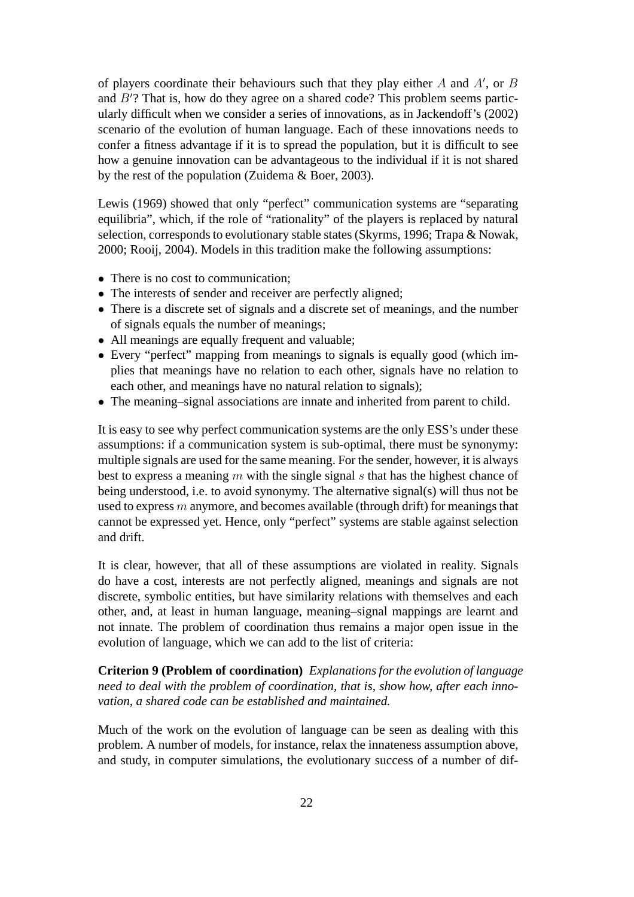of players coordinate their behaviours such that they play either  $A$  and  $A'$ , or  $B$ and  $B'$ ? That is, how do they agree on a shared code? This problem seems particularly difficult when we consider a series of innovations, as in Jackendoff's (2002) scenario of the evolution of human language. Each of these innovations needs to confer a fitness advantage if it is to spread the population, but it is difficult to see how a genuine innovation can be advantageous to the individual if it is not shared by the rest of the population (Zuidema & Boer, 2003).

Lewis (1969) showed that only "perfect" communication systems are "separating equilibria", which, if the role of "rationality" of the players is replaced by natural selection, corresponds to evolutionary stable states (Skyrms, 1996; Trapa & Nowak, 2000; Rooij, 2004). Models in this tradition make the following assumptions:

- There is no cost to communication:
- The interests of sender and receiver are perfectly aligned;
- There is a discrete set of signals and a discrete set of meanings, and the number of signals equals the number of meanings;
- All meanings are equally frequent and valuable;
- Every "perfect" mapping from meanings to signals is equally good (which implies that meanings have no relation to each other, signals have no relation to each other, and meanings have no natural relation to signals);
- The meaning–signal associations are innate and inherited from parent to child.

It is easy to see why perfect communication systems are the only ESS's under these assumptions: if a communication system is sub-optimal, there must be synonymy: multiple signals are used for the same meaning. For the sender, however, it is always best to express a meaning  $m$  with the single signal  $s$  that has the highest chance of being understood, i.e. to avoid synonymy. The alternative signal(s) will thus not be used to express  $m$  anymore, and becomes available (through drift) for meanings that cannot be expressed yet. Hence, only "perfect" systems are stable against selection and drift.

It is clear, however, that all of these assumptions are violated in reality. Signals do have a cost, interests are not perfectly aligned, meanings and signals are not discrete, symbolic entities, but have similarity relations with themselves and each other, and, at least in human language, meaning–signal mappings are learnt and not innate. The problem of coordination thus remains a major open issue in the evolution of language, which we can add to the list of criteria:

**Criterion 9 (Problem of coordination)** *Explanations for the evolution of language need to deal with the problem of coordination, that is, show how, after each innovation, a shared code can be established and maintained.*

Much of the work on the evolution of language can be seen as dealing with this problem. A number of models, for instance, relax the innateness assumption above, and study, in computer simulations, the evolutionary success of a number of dif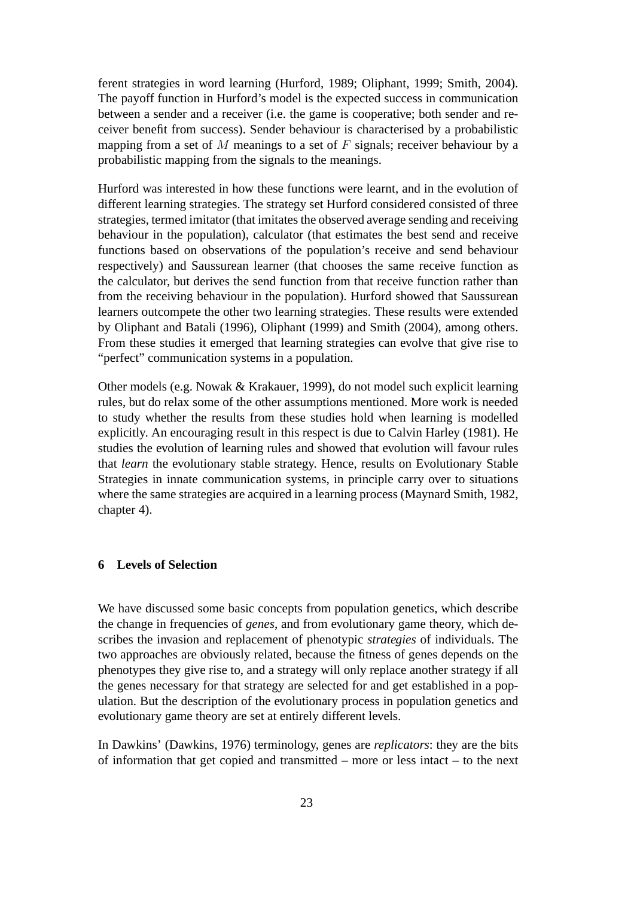ferent strategies in word learning (Hurford, 1989; Oliphant, 1999; Smith, 2004). The payoff function in Hurford's model is the expected success in communication between a sender and a receiver (i.e. the game is cooperative; both sender and receiver benefit from success). Sender behaviour is characterised by a probabilistic mapping from a set of  $M$  meanings to a set of  $F$  signals; receiver behaviour by a probabilistic mapping from the signals to the meanings.

Hurford was interested in how these functions were learnt, and in the evolution of different learning strategies. The strategy set Hurford considered consisted of three strategies, termed imitator (that imitates the observed average sending and receiving behaviour in the population), calculator (that estimates the best send and receive functions based on observations of the population's receive and send behaviour respectively) and Saussurean learner (that chooses the same receive function as the calculator, but derives the send function from that receive function rather than from the receiving behaviour in the population). Hurford showed that Saussurean learners outcompete the other two learning strategies. These results were extended by Oliphant and Batali (1996), Oliphant (1999) and Smith (2004), among others. From these studies it emerged that learning strategies can evolve that give rise to "perfect" communication systems in a population.

Other models (e.g. Nowak & Krakauer, 1999), do not model such explicit learning rules, but do relax some of the other assumptions mentioned. More work is needed to study whether the results from these studies hold when learning is modelled explicitly. An encouraging result in this respect is due to Calvin Harley (1981). He studies the evolution of learning rules and showed that evolution will favour rules that *learn* the evolutionary stable strategy. Hence, results on Evolutionary Stable Strategies in innate communication systems, in principle carry over to situations where the same strategies are acquired in a learning process (Maynard Smith, 1982, chapter 4).

## **6 Levels of Selection**

We have discussed some basic concepts from population genetics, which describe the change in frequencies of *genes*, and from evolutionary game theory, which describes the invasion and replacement of phenotypic *strategies* of individuals. The two approaches are obviously related, because the fitness of genes depends on the phenotypes they give rise to, and a strategy will only replace another strategy if all the genes necessary for that strategy are selected for and get established in a population. But the description of the evolutionary process in population genetics and evolutionary game theory are set at entirely different levels.

In Dawkins' (Dawkins, 1976) terminology, genes are *replicators*: they are the bits of information that get copied and transmitted – more or less intact – to the next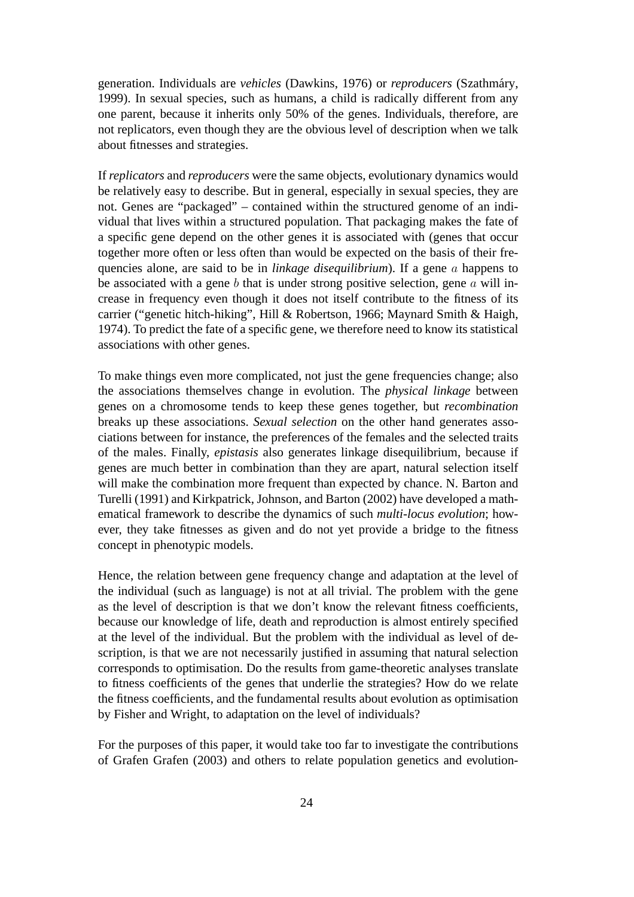generation. Individuals are *vehicles* (Dawkins, 1976) or *reproducers* (Szathmary, ´ 1999). In sexual species, such as humans, a child is radically different from any one parent, because it inherits only 50% of the genes. Individuals, therefore, are not replicators, even though they are the obvious level of description when we talk about fitnesses and strategies.

If *replicators* and *reproducers* were the same objects, evolutionary dynamics would be relatively easy to describe. But in general, especially in sexual species, they are not. Genes are "packaged" – contained within the structured genome of an individual that lives within a structured population. That packaging makes the fate of a specific gene depend on the other genes it is associated with (genes that occur together more often or less often than would be expected on the basis of their frequencies alone, are said to be in *linkage disequilibrium*). If a gene a happens to be associated with a gene b that is under strong positive selection, gene  $a$  will increase in frequency even though it does not itself contribute to the fitness of its carrier ("genetic hitch-hiking", Hill & Robertson, 1966; Maynard Smith & Haigh, 1974). To predict the fate of a specific gene, we therefore need to know its statistical associations with other genes.

To make things even more complicated, not just the gene frequencies change; also the associations themselves change in evolution. The *physical linkage* between genes on a chromosome tends to keep these genes together, but *recombination* breaks up these associations. *Sexual selection* on the other hand generates associations between for instance, the preferences of the females and the selected traits of the males. Finally, *epistasis* also generates linkage disequilibrium, because if genes are much better in combination than they are apart, natural selection itself will make the combination more frequent than expected by chance. N. Barton and Turelli (1991) and Kirkpatrick, Johnson, and Barton (2002) have developed a mathematical framework to describe the dynamics of such *multi-locus evolution*; however, they take fitnesses as given and do not yet provide a bridge to the fitness concept in phenotypic models.

Hence, the relation between gene frequency change and adaptation at the level of the individual (such as language) is not at all trivial. The problem with the gene as the level of description is that we don't know the relevant fitness coefficients, because our knowledge of life, death and reproduction is almost entirely specified at the level of the individual. But the problem with the individual as level of description, is that we are not necessarily justified in assuming that natural selection corresponds to optimisation. Do the results from game-theoretic analyses translate to fitness coefficients of the genes that underlie the strategies? How do we relate the fitness coefficients, and the fundamental results about evolution as optimisation by Fisher and Wright, to adaptation on the level of individuals?

For the purposes of this paper, it would take too far to investigate the contributions of Grafen Grafen (2003) and others to relate population genetics and evolution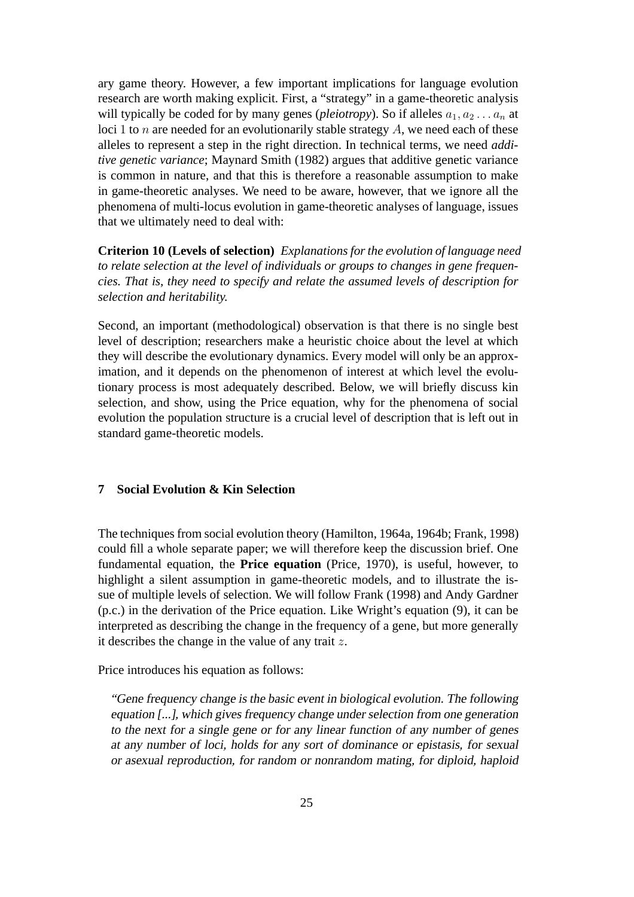ary game theory. However, a few important implications for language evolution research are worth making explicit. First, a "strategy" in a game-theoretic analysis will typically be coded for by many genes (*pleiotropy*). So if alleles  $a_1, a_2 \ldots a_n$  at loci 1 to  $n$  are needed for an evolutionarily stable strategy  $A$ , we need each of these alleles to represent a step in the right direction. In technical terms, we need *additive genetic variance*; Maynard Smith (1982) argues that additive genetic variance is common in nature, and that this is therefore a reasonable assumption to make in game-theoretic analyses. We need to be aware, however, that we ignore all the phenomena of multi-locus evolution in game-theoretic analyses of language, issues that we ultimately need to deal with:

**Criterion 10 (Levels of selection)** *Explanations for the evolution of language need to relate selection at the level of individuals or groups to changes in gene frequencies. That is, they need to specify and relate the assumed levels of description for selection and heritability.*

Second, an important (methodological) observation is that there is no single best level of description; researchers make a heuristic choice about the level at which they will describe the evolutionary dynamics. Every model will only be an approximation, and it depends on the phenomenon of interest at which level the evolutionary process is most adequately described. Below, we will briefly discuss kin selection, and show, using the Price equation, why for the phenomena of social evolution the population structure is a crucial level of description that is left out in standard game-theoretic models.

# **7 Social Evolution & Kin Selection**

The techniques from social evolution theory (Hamilton, 1964a, 1964b; Frank, 1998) could fill a whole separate paper; we will therefore keep the discussion brief. One fundamental equation, the **Price equation** (Price, 1970), is useful, however, to highlight a silent assumption in game-theoretic models, and to illustrate the issue of multiple levels of selection. We will follow Frank (1998) and Andy Gardner (p.c.) in the derivation of the Price equation. Like Wright's equation (9), it can be interpreted as describing the change in the frequency of a gene, but more generally it describes the change in the value of any trait  $z$ .

Price introduces his equation as follows:

"Gene frequency change is the basic event in biological evolution. The following equation [...], which gives frequency change under selection from one generation to the next for <sup>a</sup> single gene or for any linear function of any number of genes at any number of loci, holds for any sort of dominance or epistasis, for sexual or asexual reproduction, for random or nonrandom mating, for diploid, haploid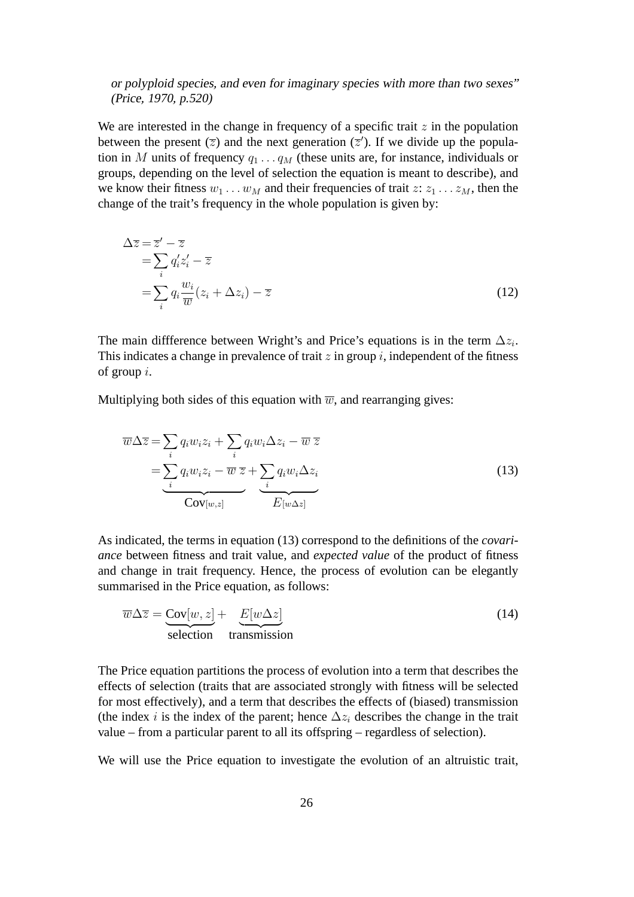# or polyploid species, and even for imaginary species with more than two sexes" (Price, 1970, p.520)

We are interested in the change in frequency of a specific trait  $z$  in the population between the present ( $\overline{z}$ ) and the next generation ( $\overline{z}'$ ). If we divide up the population in M units of frequency  $q_1 \ldots q_M$  (these units are, for instance, individuals or groups, depending on the level of selection the equation is meant to describe), and we know their fitness  $w_1 \dots w_M$  and their frequencies of trait  $z: z_1 \dots z_M$ , then the change of the trait's frequency in the whole population is given by:

$$
\Delta \overline{z} = \overline{z}' - \overline{z}
$$
  
= 
$$
\sum_{i} q'_{i} z'_{i} - \overline{z}
$$
  
= 
$$
\sum_{i} q_{i} \frac{w_{i}}{\overline{w}} (z_{i} + \Delta z_{i}) - \overline{z}
$$
 (12)

The main diffference between Wright's and Price's equations is in the term  $\Delta z_i$ . This indicates a change in prevalence of trait  $z$  in group  $i$ , independent of the fitness of group i.

Multiplying both sides of this equation with  $\overline{w}$ , and rearranging gives:

$$
\overline{w}\Delta\overline{z} = \sum_{i} q_i w_i z_i + \sum_{i} q_i w_i \Delta z_i - \overline{w} \,\overline{z}
$$
\n
$$
= \sum_{i} q_i w_i z_i - \overline{w} \,\overline{z} + \sum_{i} q_i w_i \Delta z_i
$$
\n
$$
\overline{\text{Cov}_{[w,z]}} \quad \overline{\text{E}_{[w\Delta z]}} \tag{13}
$$

As indicated, the terms in equation (13) correspond to the definitions of the *covariance* between fitness and trait value, and *expected value* of the product of fitness and change in trait frequency. Hence, the process of evolution can be elegantly summarised in the Price equation, as follows:

$$
\overline{w}\Delta \overline{z} = \underbrace{\text{Cov}[w, z]}_{\text{selection}} + \underbrace{E[w\Delta z]}_{\text{transmission}} \tag{14}
$$

The Price equation partitions the process of evolution into a term that describes the effects of selection (traits that are associated strongly with fitness will be selected for most effectively), and a term that describes the effects of (biased) transmission (the index i is the index of the parent; hence  $\Delta z_i$  describes the change in the trait value – from a particular parent to all its offspring – regardless of selection).

We will use the Price equation to investigate the evolution of an altruistic trait,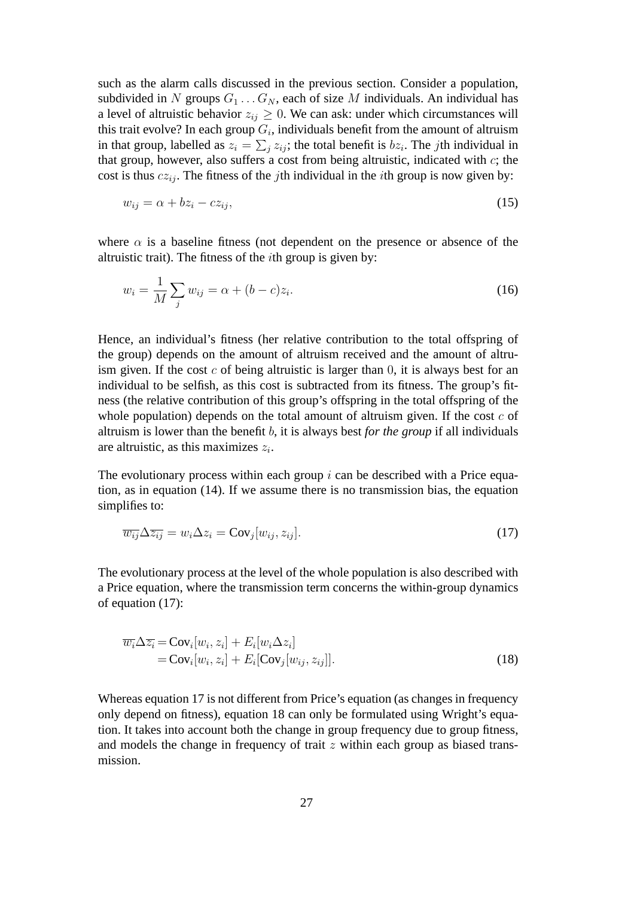such as the alarm calls discussed in the previous section. Consider a population, subdivided in N groups  $G_1 \ldots G_N$ , each of size M individuals. An individual has a level of altruistic behavior  $z_{ij} \geq 0$ . We can ask: under which circumstances will this trait evolve? In each group  $G_i$ , individuals benefit from the amount of altruism in that group, labelled as  $z_i = \sum_j z_{ij}$ ; the total benefit is  $bz_i$ . The *j*th individual in that group, however, also suffers a cost from being altruistic, indicated with  $c$ ; the cost is thus  $cz_{ij}$ . The fitness of the *j*th individual in the *i*th group is now given by:

$$
w_{ij} = \alpha + bz_i - cz_{ij},\tag{15}
$$

where  $\alpha$  is a baseline fitness (not dependent on the presence or absence of the altruistic trait). The fitness of the  $i$ th group is given by:

$$
w_i = \frac{1}{M} \sum_j w_{ij} = \alpha + (b - c)z_i.
$$
 (16)

Hence, an individual's fitness (her relative contribution to the total offspring of the group) depends on the amount of altruism received and the amount of altruism given. If the cost c of being altruistic is larger than  $0$ , it is always best for an individual to be selfish, as this cost is subtracted from its fitness. The group's fitness (the relative contribution of this group's offspring in the total offspring of the whole population) depends on the total amount of altruism given. If the cost  $c$  of altruism is lower than the benefit b, it is always best *for the group* if all individuals are altruistic, as this maximizes  $z_i$ .

The evolutionary process within each group  $i$  can be described with a Price equation, as in equation (14). If we assume there is no transmission bias, the equation simplifies to:

$$
\overline{w_{ij}}\Delta \overline{z_{ij}} = w_i \Delta z_i = \text{Cov}_j[w_{ij}, z_{ij}].\tag{17}
$$

The evolutionary process at the level of the whole population is also described with a Price equation, where the transmission term concerns the within-group dynamics of equation (17):

$$
\overline{w_i} \Delta \overline{z_i} = \text{Cov}_i[w_i, z_i] + E_i[w_i \Delta z_i]
$$
  
=  $\text{Cov}_i[w_i, z_i] + E_i[\text{Cov}_j[w_{ij}, z_{ij}]].$  (18)

Whereas equation 17 is not different from Price's equation (as changes in frequency only depend on fitness), equation 18 can only be formulated using Wright's equation. It takes into account both the change in group frequency due to group fitness, and models the change in frequency of trait  $z$  within each group as biased transmission.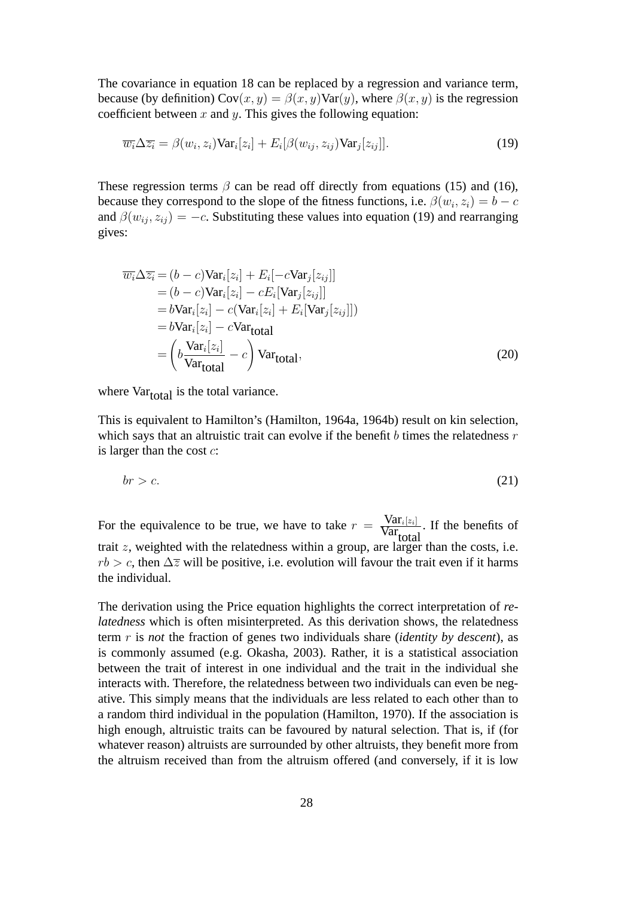The covariance in equation 18 can be replaced by a regression and variance term, because (by definition)  $Cov(x, y) = \beta(x, y)Var(y)$ , where  $\beta(x, y)$  is the regression coefficient between  $x$  and  $y$ . This gives the following equation:

$$
\overline{w_i}\Delta\overline{z_i} = \beta(w_i, z_i) \text{Var}_i[z_i] + E_i[\beta(w_{ij}, z_{ij}) \text{Var}_j[z_{ij}]].
$$
\n(19)

These regression terms  $\beta$  can be read off directly from equations (15) and (16), because they correspond to the slope of the fitness functions, i.e.  $\beta(w_i, z_i) = b - c$ and  $\beta(w_{ij}, z_{ij}) = -c$ . Substituting these values into equation (19) and rearranging gives:

$$
\overline{w_i} \Delta \overline{z_i} = (b - c) \text{Var}_i[z_i] + E_i[-c \text{Var}_j[z_{ij}]]
$$
\n
$$
= (b - c) \text{Var}_i[z_i] - cE_i[\text{Var}_j[z_{ij}]]
$$
\n
$$
= b \text{Var}_i[z_i] - c(\text{Var}_i[z_i] + E_i[\text{Var}_j[z_{ij}]])
$$
\n
$$
= b \text{Var}_i[z_i] - c \text{Var}_{total}
$$
\n
$$
= \left(b \frac{\text{Var}_i[z_i]}{\text{Var}_{total}} - c\right) \text{Var}_{total}, \tag{20}
$$

where  $Var_{total}$  is the total variance.

This is equivalent to Hamilton's (Hamilton, 1964a, 1964b) result on kin selection, which says that an altruistic trait can evolve if the benefit  $b$  times the relatedness  $r$ is larger than the cost  $c$ :

$$
br > c. \tag{21}
$$

For the equivalence to be true, we have to take  $r = \frac{\text{Var}_i[z_i]}{\text{Var}}$  $\frac{\text{val}_{i}[z_i]}{\text{Var}_{total}}$ . If the benefits of trait  $z$ , weighted with the relatedness within a group, are larger than the costs, i.e.  $rb > c$ , then  $\Delta \overline{z}$  will be positive, i.e. evolution will favour the trait even if it harms the individual.

The derivation using the Price equation highlights the correct interpretation of *relatedness* which is often misinterpreted. As this derivation shows, the relatedness term r is *not* the fraction of genes two individuals share (*identity by descent*), as is commonly assumed (e.g. Okasha, 2003). Rather, it is a statistical association between the trait of interest in one individual and the trait in the individual she interacts with. Therefore, the relatedness between two individuals can even be negative. This simply means that the individuals are less related to each other than to a random third individual in the population (Hamilton, 1970). If the association is high enough, altruistic traits can be favoured by natural selection. That is, if (for whatever reason) altruists are surrounded by other altruists, they benefit more from the altruism received than from the altruism offered (and conversely, if it is low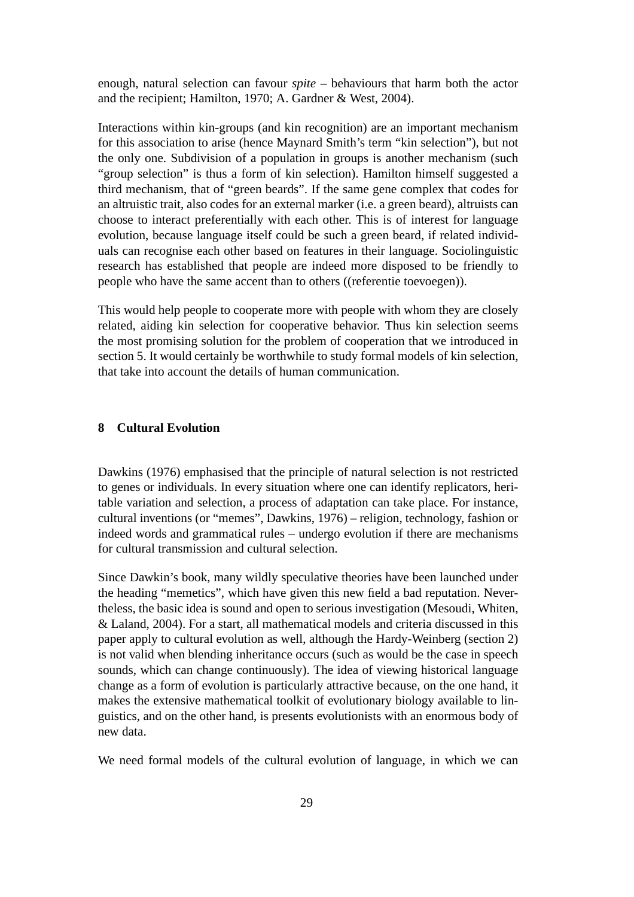enough, natural selection can favour *spite* – behaviours that harm both the actor and the recipient; Hamilton, 1970; A. Gardner & West, 2004).

Interactions within kin-groups (and kin recognition) are an important mechanism for this association to arise (hence Maynard Smith's term "kin selection"), but not the only one. Subdivision of a population in groups is another mechanism (such "group selection" is thus a form of kin selection). Hamilton himself suggested a third mechanism, that of "green beards". If the same gene complex that codes for an altruistic trait, also codes for an external marker (i.e. a green beard), altruists can choose to interact preferentially with each other. This is of interest for language evolution, because language itself could be such a green beard, if related individuals can recognise each other based on features in their language. Sociolinguistic research has established that people are indeed more disposed to be friendly to people who have the same accent than to others ((referentie toevoegen)).

This would help people to cooperate more with people with whom they are closely related, aiding kin selection for cooperative behavior. Thus kin selection seems the most promising solution for the problem of cooperation that we introduced in section 5. It would certainly be worthwhile to study formal models of kin selection, that take into account the details of human communication.

## **8 Cultural Evolution**

Dawkins (1976) emphasised that the principle of natural selection is not restricted to genes or individuals. In every situation where one can identify replicators, heritable variation and selection, a process of adaptation can take place. For instance, cultural inventions (or "memes", Dawkins, 1976) – religion, technology, fashion or indeed words and grammatical rules – undergo evolution if there are mechanisms for cultural transmission and cultural selection.

Since Dawkin's book, many wildly speculative theories have been launched under the heading "memetics", which have given this new field a bad reputation. Nevertheless, the basic idea is sound and open to serious investigation (Mesoudi, Whiten, & Laland, 2004). For a start, all mathematical models and criteria discussed in this paper apply to cultural evolution as well, although the Hardy-Weinberg (section 2) is not valid when blending inheritance occurs (such as would be the case in speech sounds, which can change continuously). The idea of viewing historical language change as a form of evolution is particularly attractive because, on the one hand, it makes the extensive mathematical toolkit of evolutionary biology available to linguistics, and on the other hand, is presents evolutionists with an enormous body of new data.

We need formal models of the cultural evolution of language, in which we can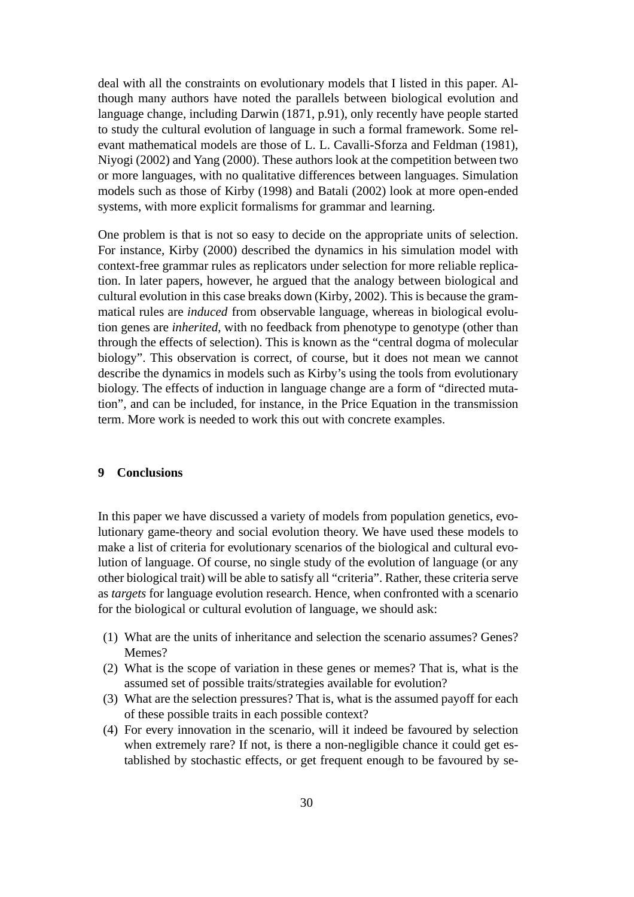deal with all the constraints on evolutionary models that I listed in this paper. Although many authors have noted the parallels between biological evolution and language change, including Darwin (1871, p.91), only recently have people started to study the cultural evolution of language in such a formal framework. Some relevant mathematical models are those of L. L. Cavalli-Sforza and Feldman (1981), Niyogi (2002) and Yang (2000). These authors look at the competition between two or more languages, with no qualitative differences between languages. Simulation models such as those of Kirby (1998) and Batali (2002) look at more open-ended systems, with more explicit formalisms for grammar and learning.

One problem is that is not so easy to decide on the appropriate units of selection. For instance, Kirby (2000) described the dynamics in his simulation model with context-free grammar rules as replicators under selection for more reliable replication. In later papers, however, he argued that the analogy between biological and cultural evolution in this case breaks down (Kirby, 2002). This is because the grammatical rules are *induced* from observable language, whereas in biological evolution genes are *inherited*, with no feedback from phenotype to genotype (other than through the effects of selection). This is known as the "central dogma of molecular biology". This observation is correct, of course, but it does not mean we cannot describe the dynamics in models such as Kirby's using the tools from evolutionary biology. The effects of induction in language change are a form of "directed mutation", and can be included, for instance, in the Price Equation in the transmission term. More work is needed to work this out with concrete examples.

## **9 Conclusions**

In this paper we have discussed a variety of models from population genetics, evolutionary game-theory and social evolution theory. We have used these models to make a list of criteria for evolutionary scenarios of the biological and cultural evolution of language. Of course, no single study of the evolution of language (or any other biological trait) will be able to satisfy all "criteria". Rather, these criteria serve as *targets* for language evolution research. Hence, when confronted with a scenario for the biological or cultural evolution of language, we should ask:

- (1) What are the units of inheritance and selection the scenario assumes? Genes? Memes?
- (2) What is the scope of variation in these genes or memes? That is, what is the assumed set of possible traits/strategies available for evolution?
- (3) What are the selection pressures? That is, what is the assumed payoff for each of these possible traits in each possible context?
- (4) For every innovation in the scenario, will it indeed be favoured by selection when extremely rare? If not, is there a non-negligible chance it could get established by stochastic effects, or get frequent enough to be favoured by se-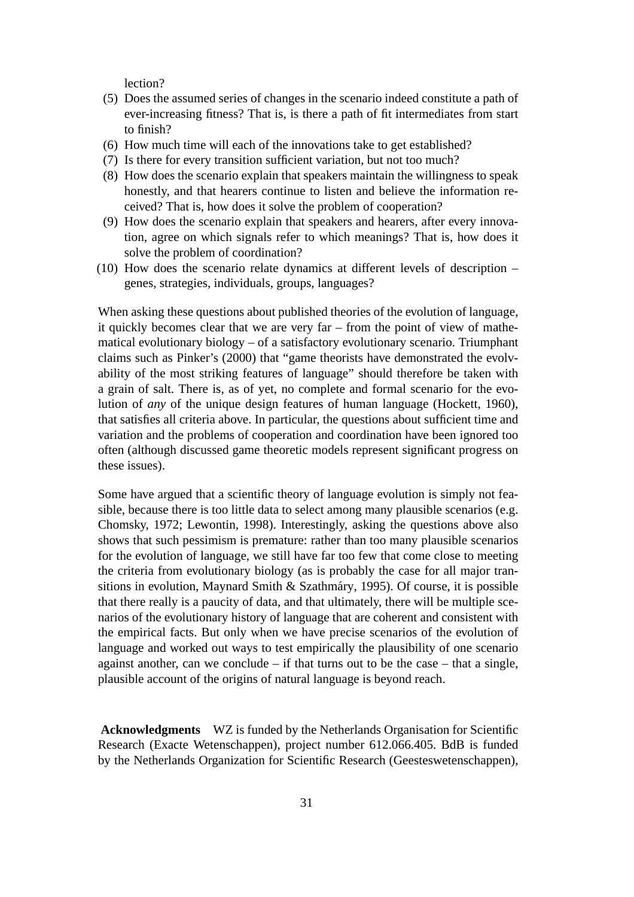lection?

- (5) Does the assumed series of changes in the scenario indeed constitute a path of ever-increasing fitness? That is, is there a path of fit intermediates from start to finish?
- (6) How much time will each of the innovations take to get established?
- (7) Is there for every transition sufficient variation, but not too much?
- (8) How does the scenario explain that speakers maintain the willingness to speak honestly, and that hearers continue to listen and believe the information received? That is, how does it solve the problem of cooperation?
- (9) How does the scenario explain that speakers and hearers, after every innovation, agree on which signals refer to which meanings? That is, how does it solve the problem of coordination?
- (10) How does the scenario relate dynamics at different levels of description genes, strategies, individuals, groups, languages?

When asking these questions about published theories of the evolution of language, it quickly becomes clear that we are very far – from the point of view of mathematical evolutionary biology – of a satisfactory evolutionary scenario. Triumphant claims such as Pinker's (2000) that "game theorists have demonstrated the evolvability of the most striking features of language" should therefore be taken with a grain of salt. There is, as of yet, no complete and formal scenario for the evolution of *any* of the unique design features of human language (Hockett, 1960), that satisfies all criteria above. In particular, the questions about sufficient time and variation and the problems of cooperation and coordination have been ignored too often (although discussed game theoretic models represent significant progress on these issues).

Some have argued that a scientific theory of language evolution is simply not feasible, because there is too little data to select among many plausible scenarios (e.g. Chomsky, 1972; Lewontin, 1998). Interestingly, asking the questions above also shows that such pessimism is premature: rather than too many plausible scenarios for the evolution of language, we still have far too few that come close to meeting the criteria from evolutionary biology (as is probably the case for all major transitions in evolution, Maynard Smith & Szathmáry, 1995). Of course, it is possible that there really is a paucity of data, and that ultimately, there will be multiple scenarios of the evolutionary history of language that are coherent and consistent with the empirical facts. But only when we have precise scenarios of the evolution of language and worked out ways to test empirically the plausibility of one scenario against another, can we conclude  $-$  if that turns out to be the case  $-$  that a single, plausible account of the origins of natural language is beyond reach.

**Acknowledgments** WZ is funded by the Netherlands Organisation for Scientific Research (Exacte Wetenschappen), project number 612.066.405. BdB is funded by the Netherlands Organization for Scientific Research (Geesteswetenschappen),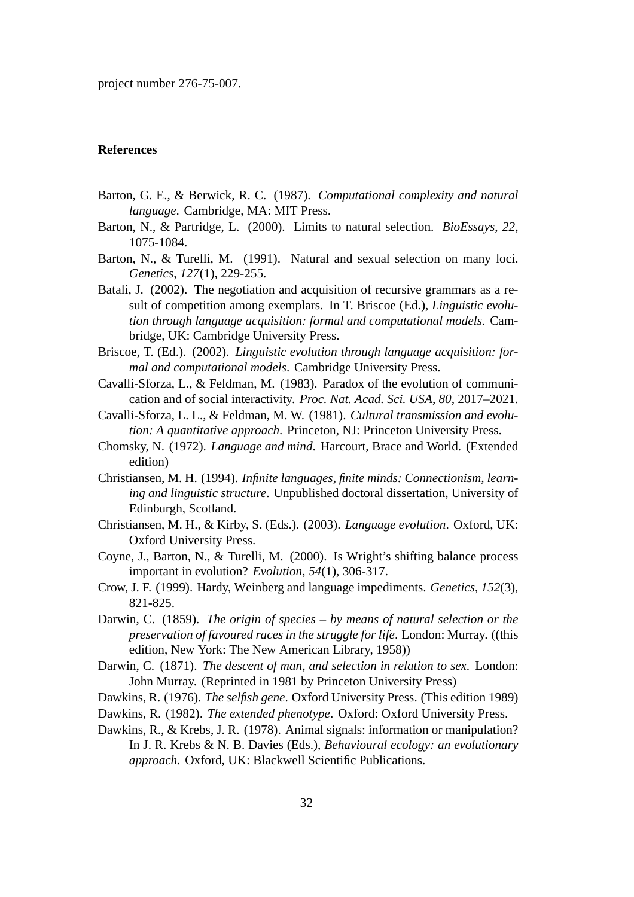project number 276-75-007.

## **References**

- Barton, G. E., & Berwick, R. C. (1987). *Computational complexity and natural language*. Cambridge, MA: MIT Press.
- Barton, N., & Partridge, L. (2000). Limits to natural selection. *BioEssays*, *22*, 1075-1084.
- Barton, N., & Turelli, M. (1991). Natural and sexual selection on many loci. *Genetics*, *127*(1), 229-255.
- Batali, J. (2002). The negotiation and acquisition of recursive grammars as a result of competition among exemplars. In T. Briscoe (Ed.), *Linguistic evolution through language acquisition: formal and computational models.* Cambridge, UK: Cambridge University Press.
- Briscoe, T. (Ed.). (2002). *Linguistic evolution through language acquisition: formal and computational models*. Cambridge University Press.
- Cavalli-Sforza, L., & Feldman, M. (1983). Paradox of the evolution of communication and of social interactivity. *Proc. Nat. Acad. Sci. USA*, *80*, 2017–2021.
- Cavalli-Sforza, L. L., & Feldman, M. W. (1981). *Cultural transmission and evolution: A quantitative approach*. Princeton, NJ: Princeton University Press.
- Chomsky, N. (1972). *Language and mind*. Harcourt, Brace and World. (Extended edition)
- Christiansen, M. H. (1994). *Infinite languages, finite minds: Connectionism, learning and linguistic structure*. Unpublished doctoral dissertation, University of Edinburgh, Scotland.
- Christiansen, M. H., & Kirby, S. (Eds.). (2003). *Language evolution*. Oxford, UK: Oxford University Press.
- Coyne, J., Barton, N., & Turelli, M. (2000). Is Wright's shifting balance process important in evolution? *Evolution*, *54*(1), 306-317.
- Crow, J. F. (1999). Hardy, Weinberg and language impediments. *Genetics*, *152*(3), 821-825.
- Darwin, C. (1859). *The origin of species by means of natural selection or the preservation of favoured races in the struggle for life*. London: Murray. ((this edition, New York: The New American Library, 1958))
- Darwin, C. (1871). *The descent of man, and selection in relation to sex*. London: John Murray. (Reprinted in 1981 by Princeton University Press)
- Dawkins, R. (1976). *The selfish gene*. Oxford University Press. (This edition 1989)
- Dawkins, R. (1982). *The extended phenotype*. Oxford: Oxford University Press.
- Dawkins, R., & Krebs, J. R. (1978). Animal signals: information or manipulation? In J. R. Krebs & N. B. Davies (Eds.), *Behavioural ecology: an evolutionary approach.* Oxford, UK: Blackwell Scientific Publications.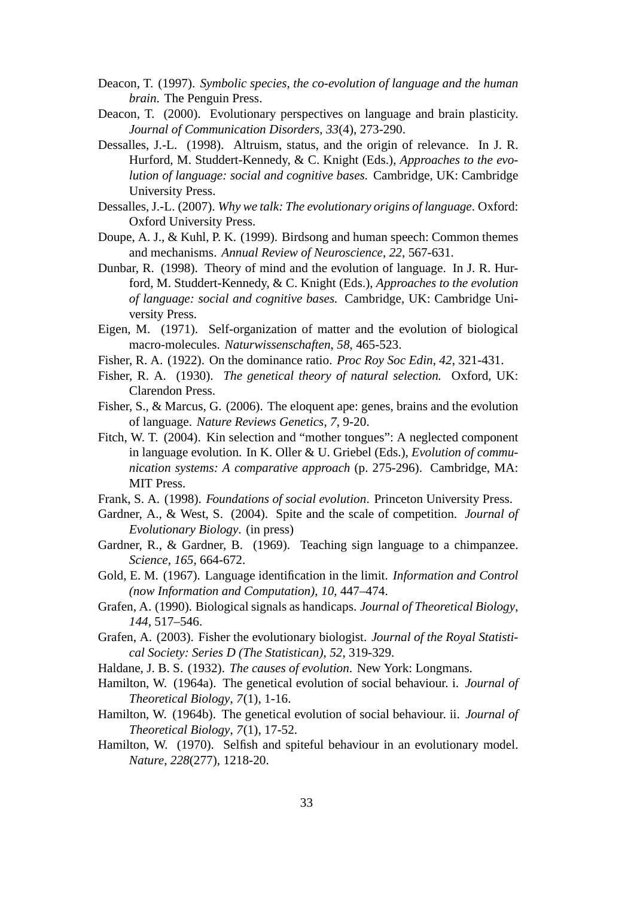- Deacon, T. (1997). *Symbolic species, the co-evolution of language and the human brain*. The Penguin Press.
- Deacon, T. (2000). Evolutionary perspectives on language and brain plasticity. *Journal of Communication Disorders*, *33*(4), 273-290.
- Dessalles, J.-L. (1998). Altruism, status, and the origin of relevance. In J. R. Hurford, M. Studdert-Kennedy, & C. Knight (Eds.), *Approaches to the evolution of language: social and cognitive bases.* Cambridge, UK: Cambridge University Press.
- Dessalles, J.-L. (2007). *Why we talk: The evolutionary origins of language*. Oxford: Oxford University Press.
- Doupe, A. J., & Kuhl, P. K. (1999). Birdsong and human speech: Common themes and mechanisms. *Annual Review of Neuroscience*, *22*, 567-631.
- Dunbar, R. (1998). Theory of mind and the evolution of language. In J. R. Hurford, M. Studdert-Kennedy, & C. Knight (Eds.), *Approaches to the evolution of language: social and cognitive bases.* Cambridge, UK: Cambridge University Press.
- Eigen, M. (1971). Self-organization of matter and the evolution of biological macro-molecules. *Naturwissenschaften*, *58*, 465-523.
- Fisher, R. A. (1922). On the dominance ratio. *Proc Roy Soc Edin*, *42*, 321-431.
- Fisher, R. A. (1930). *The genetical theory of natural selection.* Oxford, UK: Clarendon Press.
- Fisher, S., & Marcus, G. (2006). The eloquent ape: genes, brains and the evolution of language. *Nature Reviews Genetics*, *7*, 9-20.
- Fitch, W. T. (2004). Kin selection and "mother tongues": A neglected component in language evolution. In K. Oller & U. Griebel (Eds.), *Evolution of communication systems: A comparative approach* (p. 275-296). Cambridge, MA: MIT Press.
- Frank, S. A. (1998). *Foundations of social evolution*. Princeton University Press.
- Gardner, A., & West, S. (2004). Spite and the scale of competition. *Journal of Evolutionary Biology*. (in press)
- Gardner, R., & Gardner, B. (1969). Teaching sign language to a chimpanzee. *Science*, *165*, 664-672.
- Gold, E. M. (1967). Language identification in the limit. *Information and Control (now Information and Computation)*, *10*, 447–474.
- Grafen, A. (1990). Biological signals as handicaps. *Journal of Theoretical Biology*, *144*, 517–546.
- Grafen, A. (2003). Fisher the evolutionary biologist. *Journal of the Royal Statistical Society: Series D (The Statistican)*, *52*, 319-329.
- Haldane, J. B. S. (1932). *The causes of evolution*. New York: Longmans.
- Hamilton, W. (1964a). The genetical evolution of social behaviour. i. *Journal of Theoretical Biology*, *7*(1), 1-16.
- Hamilton, W. (1964b). The genetical evolution of social behaviour. ii. *Journal of Theoretical Biology*, *7*(1), 17-52.
- Hamilton, W. (1970). Selfish and spiteful behaviour in an evolutionary model. *Nature*, *228*(277), 1218-20.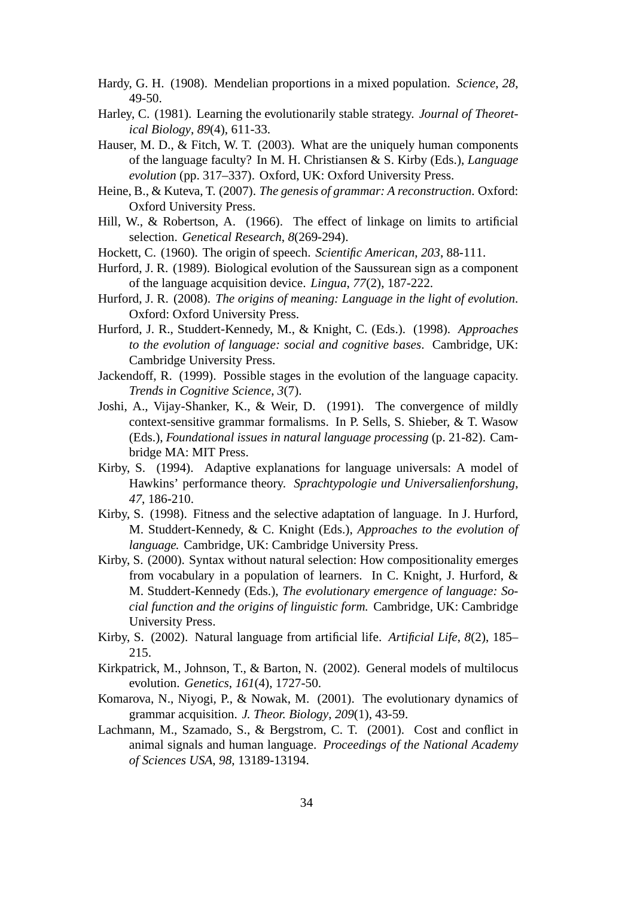- Hardy, G. H. (1908). Mendelian proportions in a mixed population. *Science*, *28*, 49-50.
- Harley, C. (1981). Learning the evolutionarily stable strategy. *Journal of Theoretical Biology*, *89*(4), 611-33.
- Hauser, M. D., & Fitch, W. T. (2003). What are the uniquely human components of the language faculty? In M. H. Christiansen & S. Kirby (Eds.), *Language evolution* (pp. 317–337). Oxford, UK: Oxford University Press.
- Heine, B., & Kuteva, T. (2007). *The genesis of grammar: A reconstruction*. Oxford: Oxford University Press.
- Hill, W., & Robertson, A. (1966). The effect of linkage on limits to artificial selection. *Genetical Research*, *8*(269-294).
- Hockett, C. (1960). The origin of speech. *Scientific American*, *203*, 88-111.
- Hurford, J. R. (1989). Biological evolution of the Saussurean sign as a component of the language acquisition device. *Lingua*, *77*(2), 187-222.
- Hurford, J. R. (2008). *The origins of meaning: Language in the light of evolution*. Oxford: Oxford University Press.
- Hurford, J. R., Studdert-Kennedy, M., & Knight, C. (Eds.). (1998). *Approaches to the evolution of language: social and cognitive bases*. Cambridge, UK: Cambridge University Press.
- Jackendoff, R. (1999). Possible stages in the evolution of the language capacity. *Trends in Cognitive Science*, *3*(7).
- Joshi, A., Vijay-Shanker, K., & Weir, D. (1991). The convergence of mildly context-sensitive grammar formalisms. In P. Sells, S. Shieber, & T. Wasow (Eds.), *Foundational issues in natural language processing* (p. 21-82). Cambridge MA: MIT Press.
- Kirby, S. (1994). Adaptive explanations for language universals: A model of Hawkins' performance theory. *Sprachtypologie und Universalienforshung*, *47*, 186-210.
- Kirby, S. (1998). Fitness and the selective adaptation of language. In J. Hurford, M. Studdert-Kennedy, & C. Knight (Eds.), *Approaches to the evolution of language.* Cambridge, UK: Cambridge University Press.
- Kirby, S. (2000). Syntax without natural selection: How compositionality emerges from vocabulary in a population of learners. In C. Knight, J. Hurford, & M. Studdert-Kennedy (Eds.), *The evolutionary emergence of language: Social function and the origins of linguistic form.* Cambridge, UK: Cambridge University Press.
- Kirby, S. (2002). Natural language from artificial life. *Artificial Life*, *8*(2), 185– 215.
- Kirkpatrick, M., Johnson, T., & Barton, N. (2002). General models of multilocus evolution. *Genetics*, *161*(4), 1727-50.
- Komarova, N., Niyogi, P., & Nowak, M. (2001). The evolutionary dynamics of grammar acquisition. *J. Theor. Biology*, *209*(1), 43-59.
- Lachmann, M., Szamado, S., & Bergstrom, C. T. (2001). Cost and conflict in animal signals and human language. *Proceedings of the National Academy of Sciences USA*, *98*, 13189-13194.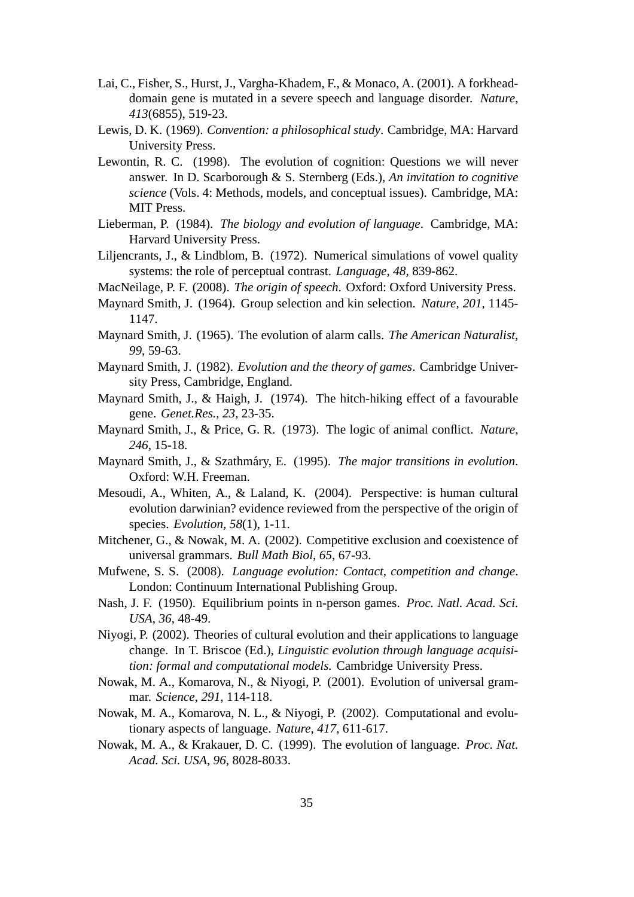- Lai, C., Fisher, S., Hurst, J., Vargha-Khadem, F., & Monaco, A. (2001). A forkheaddomain gene is mutated in a severe speech and language disorder. *Nature*, *413*(6855), 519-23.
- Lewis, D. K. (1969). *Convention: a philosophical study*. Cambridge, MA: Harvard University Press.
- Lewontin, R. C. (1998). The evolution of cognition: Questions we will never answer. In D. Scarborough & S. Sternberg (Eds.), *An invitation to cognitive science* (Vols. 4: Methods, models, and conceptual issues). Cambridge, MA: MIT Press.
- Lieberman, P. (1984). *The biology and evolution of language*. Cambridge, MA: Harvard University Press.
- Liljencrants, J., & Lindblom, B. (1972). Numerical simulations of vowel quality systems: the role of perceptual contrast. *Language*, *48*, 839-862.
- MacNeilage, P. F. (2008). *The origin of speech*. Oxford: Oxford University Press.
- Maynard Smith, J. (1964). Group selection and kin selection. *Nature*, *201*, 1145- 1147.
- Maynard Smith, J. (1965). The evolution of alarm calls. *The American Naturalist*, *99*, 59-63.
- Maynard Smith, J. (1982). *Evolution and the theory of games*. Cambridge University Press, Cambridge, England.
- Maynard Smith, J., & Haigh, J. (1974). The hitch-hiking effect of a favourable gene. *Genet.Res.*, *23*, 23-35.
- Maynard Smith, J., & Price, G. R. (1973). The logic of animal conflict. *Nature*, *246*, 15-18.
- Maynard Smith, J., & Szathmáry, E. (1995). *The major transitions in evolution*. Oxford: W.H. Freeman.
- Mesoudi, A., Whiten, A., & Laland, K. (2004). Perspective: is human cultural evolution darwinian? evidence reviewed from the perspective of the origin of species. *Evolution*, *58*(1), 1-11.
- Mitchener, G., & Nowak, M. A. (2002). Competitive exclusion and coexistence of universal grammars. *Bull Math Biol*, *65*, 67-93.
- Mufwene, S. S. (2008). *Language evolution: Contact, competition and change*. London: Continuum International Publishing Group.
- Nash, J. F. (1950). Equilibrium points in n-person games. *Proc. Natl. Acad. Sci. USA*, *36*, 48-49.
- Niyogi, P. (2002). Theories of cultural evolution and their applications to language change. In T. Briscoe (Ed.), *Linguistic evolution through language acquisition: formal and computational models.* Cambridge University Press.
- Nowak, M. A., Komarova, N., & Niyogi, P. (2001). Evolution of universal grammar. *Science*, *291*, 114-118.
- Nowak, M. A., Komarova, N. L., & Niyogi, P. (2002). Computational and evolutionary aspects of language. *Nature*, *417*, 611-617.
- Nowak, M. A., & Krakauer, D. C. (1999). The evolution of language. *Proc. Nat. Acad. Sci. USA*, *96*, 8028-8033.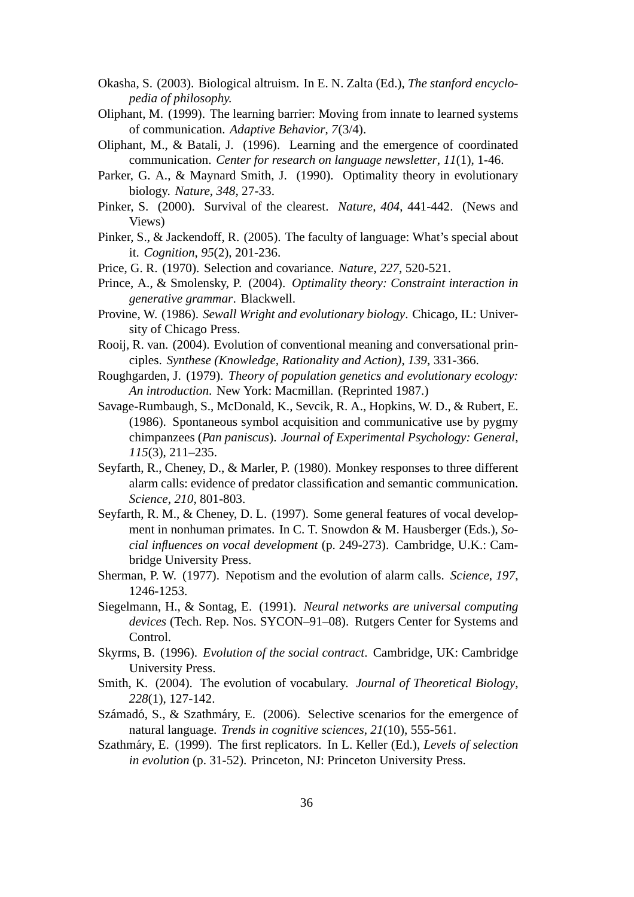- Okasha, S. (2003). Biological altruism. In E. N. Zalta (Ed.), *The stanford encyclopedia of philosophy.*
- Oliphant, M. (1999). The learning barrier: Moving from innate to learned systems of communication. *Adaptive Behavior*, *7*(3/4).
- Oliphant, M., & Batali, J. (1996). Learning and the emergence of coordinated communication. *Center for research on language newsletter*, *11*(1), 1-46.
- Parker, G. A., & Maynard Smith, J. (1990). Optimality theory in evolutionary biology. *Nature*, *348*, 27-33.
- Pinker, S. (2000). Survival of the clearest. *Nature*, *404*, 441-442. (News and Views)
- Pinker, S., & Jackendoff, R. (2005). The faculty of language: What's special about it. *Cognition*, *95*(2), 201-236.
- Price, G. R. (1970). Selection and covariance. *Nature*, *227*, 520-521.
- Prince, A., & Smolensky, P. (2004). *Optimality theory: Constraint interaction in generative grammar*. Blackwell.
- Provine, W. (1986). *Sewall Wright and evolutionary biology*. Chicago, IL: University of Chicago Press.
- Rooij, R. van. (2004). Evolution of conventional meaning and conversational principles. *Synthese (Knowledge, Rationality and Action)*, *139*, 331-366.
- Roughgarden, J. (1979). *Theory of population genetics and evolutionary ecology: An introduction*. New York: Macmillan. (Reprinted 1987.)
- Savage-Rumbaugh, S., McDonald, K., Sevcik, R. A., Hopkins, W. D., & Rubert, E. (1986). Spontaneous symbol acquisition and communicative use by pygmy chimpanzees (*Pan paniscus*). *Journal of Experimental Psychology: General*, *115*(3), 211–235.
- Seyfarth, R., Cheney, D., & Marler, P. (1980). Monkey responses to three different alarm calls: evidence of predator classification and semantic communication. *Science*, *210*, 801-803.
- Seyfarth, R. M., & Cheney, D. L. (1997). Some general features of vocal development in nonhuman primates. In C. T. Snowdon & M. Hausberger (Eds.), *Social influences on vocal development* (p. 249-273). Cambridge, U.K.: Cambridge University Press.
- Sherman, P. W. (1977). Nepotism and the evolution of alarm calls. *Science*, *197*, 1246-1253.
- Siegelmann, H., & Sontag, E. (1991). *Neural networks are universal computing devices* (Tech. Rep. Nos. SYCON–91–08). Rutgers Center for Systems and Control.
- Skyrms, B. (1996). *Evolution of the social contract*. Cambridge, UK: Cambridge University Press.
- Smith, K. (2004). The evolution of vocabulary. *Journal of Theoretical Biology*, *228*(1), 127-142.
- Számadó, S., & Szathmáry, E. (2006). Selective scenarios for the emergence of natural language. *Trends in cognitive sciences*, *21*(10), 555-561.
- Szathmáry, E. (1999). The first replicators. In L. Keller (Ed.), *Levels of selection in evolution* (p. 31-52). Princeton, NJ: Princeton University Press.